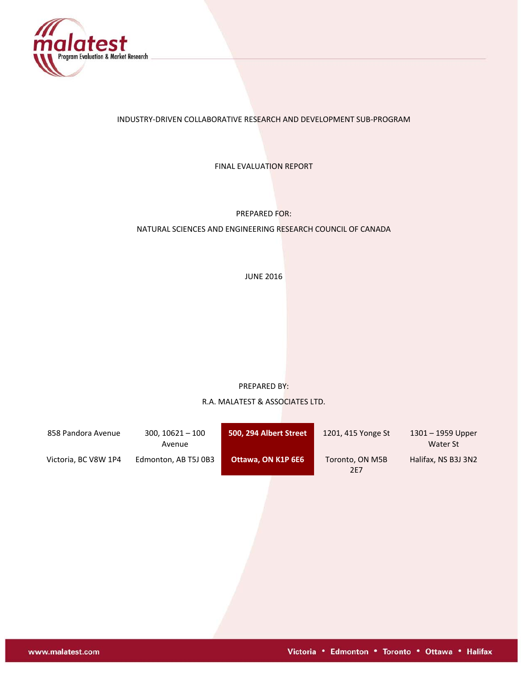

## INDUSTRY‐DRIVEN COLLABORATIVE RESEARCH AND DEVELOPMENT SUB‐PROGRAM

FINAL EVALUATION REPORT

## PREPARED FOR:

### NATURAL SCIENCES AND ENGINEERING RESEARCH COUNCIL OF CANADA

JUNE 2016

PREPARED BY:

## R.A. MALATEST & ASSOCIATES LTD.

| 858 Pandora Avenue   | $300, 10621 - 100$<br>Avenue | 500, 294 Albert Street | 1201, 415 Yonge St     | 1301 - 1959 Upper<br>Water St |
|----------------------|------------------------------|------------------------|------------------------|-------------------------------|
| Victoria, BC V8W 1P4 | Edmonton, AB T5J 0B3         | Ottawa, ON K1P 6E6     | Toronto, ON M5B<br>2E7 | Halifax, NS B3J 3N2           |
|                      |                              |                        |                        |                               |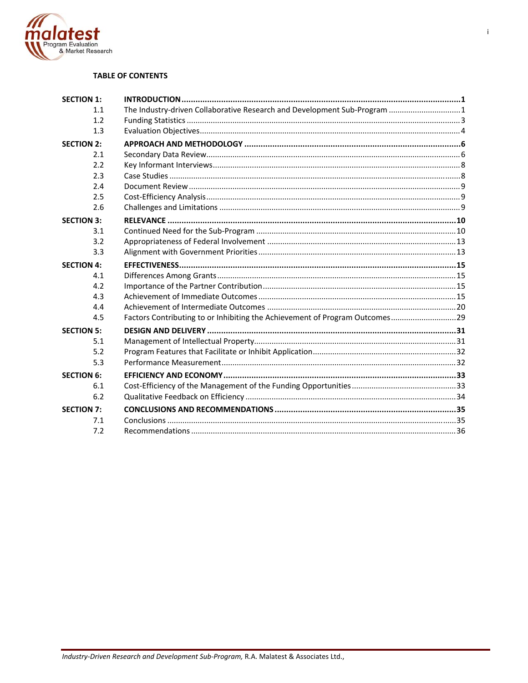

## **TABLE OF CONTENTS**

| <b>SECTION 1:</b> |                                                                             |  |
|-------------------|-----------------------------------------------------------------------------|--|
| 1.1               | The Industry-driven Collaborative Research and Development Sub-Program  1   |  |
| 1.2               |                                                                             |  |
| 1.3               |                                                                             |  |
| <b>SECTION 2:</b> |                                                                             |  |
| 2.1               |                                                                             |  |
| 2.2               |                                                                             |  |
| 2.3               |                                                                             |  |
| 2.4               |                                                                             |  |
| 2.5               |                                                                             |  |
| 2.6               |                                                                             |  |
| <b>SECTION 3:</b> |                                                                             |  |
| 3.1               |                                                                             |  |
| 3.2               |                                                                             |  |
| 3.3               |                                                                             |  |
| <b>SECTION 4:</b> |                                                                             |  |
| 4.1               |                                                                             |  |
| 4.2               |                                                                             |  |
| 4.3               |                                                                             |  |
| 4.4               |                                                                             |  |
| 4.5               | Factors Contributing to or Inhibiting the Achievement of Program Outcomes29 |  |
| <b>SECTION 5:</b> |                                                                             |  |
| 5.1               |                                                                             |  |
| 5.2               |                                                                             |  |
| 5.3               |                                                                             |  |
| <b>SECTION 6:</b> |                                                                             |  |
| 6.1               |                                                                             |  |
| 6.2               |                                                                             |  |
| <b>SECTION 7:</b> |                                                                             |  |
| 7.1               |                                                                             |  |
| 7.2               |                                                                             |  |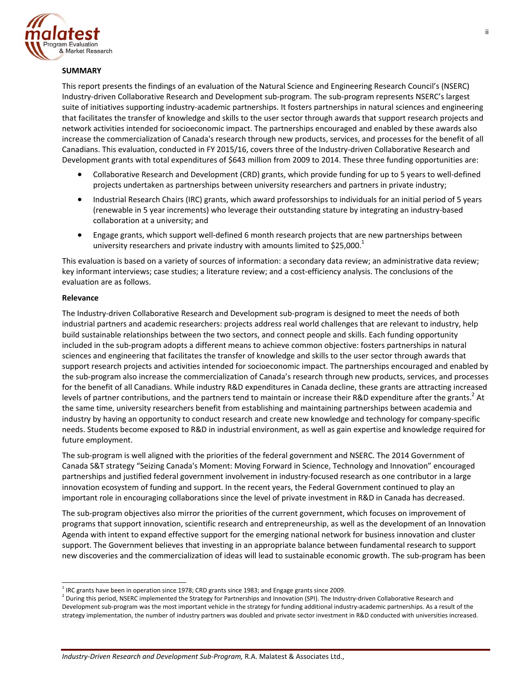

## **SUMMARY**

This report presents the findings of an evaluation of the Natural Science and Engineering Research Council's (NSERC) Industry‐driven Collaborative Research and Development sub‐program. The sub‐program represents NSERC's largest suite of initiatives supporting industry‐academic partnerships. It fosters partnerships in natural sciences and engineering that facilitates the transfer of knowledge and skills to the user sector through awards that support research projects and network activities intended for socioeconomic impact. The partnerships encouraged and enabled by these awards also increase the commercialization of Canada's research through new products, services, and processes for the benefit of all Canadians. This evaluation, conducted in FY 2015/16, covers three of the Industry-driven Collaborative Research and Development grants with total expenditures of \$643 million from 2009 to 2014. These three funding opportunities are:

- Collaborative Research and Development (CRD) grants, which provide funding for up to 5 years to well‐defined projects undertaken as partnerships between university researchers and partners in private industry;
- Industrial Research Chairs (IRC) grants, which award professorships to individuals for an initial period of 5 years (renewable in 5 year increments) who leverage their outstanding stature by integrating an industry‐based collaboration at a university; and
- Engage grants, which support well-defined 6 month research projects that are new partnerships between university researchers and private industry with amounts limited to  $$25,000.<sup>1</sup>$

This evaluation is based on a variety of sources of information: a secondary data review; an administrative data review; key informant interviews; case studies; a literature review; and a cost-efficiency analysis. The conclusions of the evaluation are as follows.

#### **Relevance**

The Industry‐driven Collaborative Research and Development sub‐program is designed to meet the needs of both industrial partners and academic researchers: projects address real world challenges that are relevant to industry, help build sustainable relationships between the two sectors, and connect people and skills. Each funding opportunity included in the sub‐program adopts a different means to achieve common objective: fosters partnerships in natural sciences and engineering that facilitates the transfer of knowledge and skills to the user sector through awards that support research projects and activities intended for socioeconomic impact. The partnerships encouraged and enabled by the sub‐program also increase the commercialization of Canada's research through new products, services, and processes for the benefit of all Canadians. While industry R&D expenditures in Canada decline, these grants are attracting increased levels of partner contributions, and the partners tend to maintain or increase their R&D expenditure after the grants.<sup>2</sup> At the same time, university researchers benefit from establishing and maintaining partnerships between academia and industry by having an opportunity to conduct research and create new knowledge and technology for company‐specific needs. Students become exposed to R&D in industrial environment, as well as gain expertise and knowledge required for future employment.

The sub‐program is well aligned with the priorities of the federal government and NSERC. The 2014 Government of Canada S&T strategy "Seizing Canada's Moment: Moving Forward in Science, Technology and Innovation" encouraged partnerships and justified federal government involvement in industry‐focused research as one contributor in a large innovation ecosystem of funding and support. In the recent years, the Federal Government continued to play an important role in encouraging collaborations since the level of private investment in R&D in Canada has decreased.

The sub‐program objectives also mirror the priorities of the current government, which focuses on improvement of programs that support innovation, scientific research and entrepreneurship, as well as the development of an Innovation Agenda with intent to expand effective support for the emerging national network for business innovation and cluster support. The Government believes that investing in an appropriate balance between fundamental research to support new discoveries and the commercialization of ideas will lead to sustainable economic growth. The sub-program has been

<u> 1989 - Johann Barn, mars ann an t-Amhain an t-Amhain ann an t-Amhain an t-Amhain an t-Amhain an t-Amhain ann a</u>

 $1$  IRC grants have been in operation since 1978; CRD grants since 1983; and Engage grants since 2009.

 $^2$  During this period, NSERC implemented the Strategy for Partnerships and Innovation (SPI). The Industry-driven Collaborative Research and Development sub‐program was the most important vehicle in the strategy for funding additional industry‐academic partnerships. As a result of the strategy implementation, the number of industry partners was doubled and private sector investment in R&D conducted with universities increased.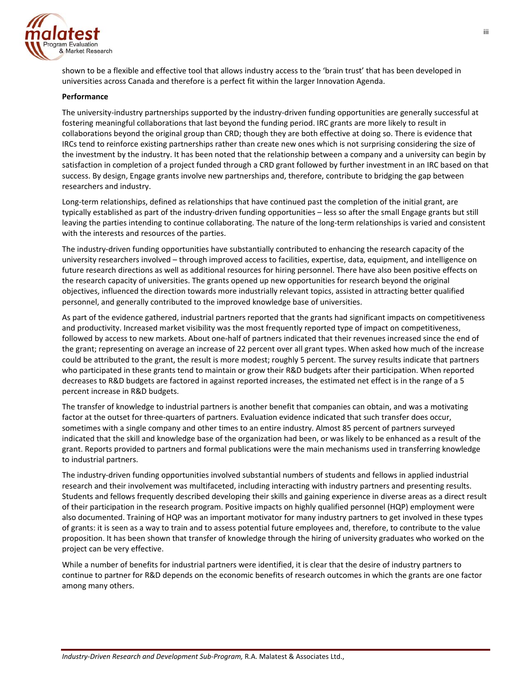

shown to be a flexible and effective tool that allows industry access to the 'brain trust' that has been developed in universities across Canada and therefore is a perfect fit within the larger Innovation Agenda.

#### **Performance**

The university‐industry partnerships supported by the industry‐driven funding opportunities are generally successful at fostering meaningful collaborations that last beyond the funding period. IRC grants are more likely to result in collaborations beyond the original group than CRD; though they are both effective at doing so. There is evidence that IRCs tend to reinforce existing partnerships rather than create new ones which is not surprising considering the size of the investment by the industry. It has been noted that the relationship between a company and a university can begin by satisfaction in completion of a project funded through a CRD grant followed by further investment in an IRC based on that success. By design, Engage grants involve new partnerships and, therefore, contribute to bridging the gap between researchers and industry.

Long-term relationships, defined as relationships that have continued past the completion of the initial grant, are typically established as part of the industry‐driven funding opportunities – less so after the small Engage grants but still leaving the parties intending to continue collaborating. The nature of the long-term relationships is varied and consistent with the interests and resources of the parties.

The industry‐driven funding opportunities have substantially contributed to enhancing the research capacity of the university researchers involved – through improved access to facilities, expertise, data, equipment, and intelligence on future research directions as well as additional resources for hiring personnel. There have also been positive effects on the research capacity of universities. The grants opened up new opportunities for research beyond the original objectives, influenced the direction towards more industrially relevant topics, assisted in attracting better qualified personnel, and generally contributed to the improved knowledge base of universities.

As part of the evidence gathered, industrial partners reported that the grants had significant impacts on competitiveness and productivity. Increased market visibility was the most frequently reported type of impact on competitiveness, followed by access to new markets. About one-half of partners indicated that their revenues increased since the end of the grant; representing on average an increase of 22 percent over all grant types. When asked how much of the increase could be attributed to the grant, the result is more modest; roughly 5 percent. The survey results indicate that partners who participated in these grants tend to maintain or grow their R&D budgets after their participation. When reported decreases to R&D budgets are factored in against reported increases, the estimated net effect is in the range of a 5 percent increase in R&D budgets.

The transfer of knowledge to industrial partners is another benefit that companies can obtain, and was a motivating factor at the outset for three-quarters of partners. Evaluation evidence indicated that such transfer does occur, sometimes with a single company and other times to an entire industry. Almost 85 percent of partners surveyed indicated that the skill and knowledge base of the organization had been, or was likely to be enhanced as a result of the grant. Reports provided to partners and formal publications were the main mechanisms used in transferring knowledge to industrial partners.

The industry‐driven funding opportunities involved substantial numbers of students and fellows in applied industrial research and their involvement was multifaceted, including interacting with industry partners and presenting results. Students and fellows frequently described developing their skills and gaining experience in diverse areas as a direct result of their participation in the research program. Positive impacts on highly qualified personnel (HQP) employment were also documented. Training of HQP was an important motivator for many industry partners to get involved in these types of grants: it is seen as a way to train and to assess potential future employees and, therefore, to contribute to the value proposition. It has been shown that transfer of knowledge through the hiring of university graduates who worked on the project can be very effective.

While a number of benefits for industrial partners were identified, it is clear that the desire of industry partners to continue to partner for R&D depends on the economic benefits of research outcomes in which the grants are one factor among many others.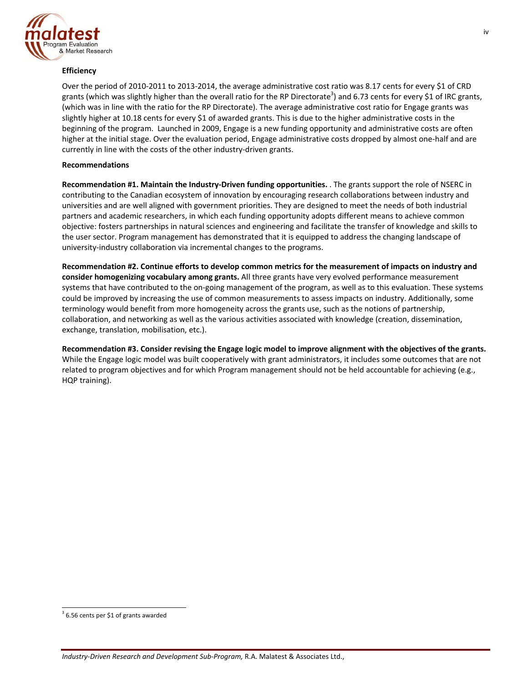

### **Efficiency**

Over the period of 2010‐2011 to 2013‐2014, the average administrative cost ratio was 8.17 cents for every \$1 of CRD grants (which was slightly higher than the overall ratio for the RP Directorate<sup>3</sup>) and 6.73 cents for every \$1 of IRC grants, (which was in line with the ratio for the RP Directorate). The average administrative cost ratio for Engage grants was slightly higher at 10.18 cents for every \$1 of awarded grants. This is due to the higher administrative costs in the beginning of the program. Launched in 2009, Engage is a new funding opportunity and administrative costs are often higher at the initial stage. Over the evaluation period, Engage administrative costs dropped by almost one-half and are currently in line with the costs of the other industry‐driven grants.

### **Recommendations**

**Recommendation #1. Maintain the Industry‐Driven funding opportunities.** . The grants support the role of NSERC in contributing to the Canadian ecosystem of innovation by encouraging research collaborations between industry and universities and are well aligned with government priorities. They are designed to meet the needs of both industrial partners and academic researchers, in which each funding opportunity adopts different means to achieve common objective: fosters partnerships in natural sciences and engineering and facilitate the transfer of knowledge and skills to the user sector. Program management has demonstrated that it is equipped to address the changing landscape of university‐industry collaboration via incremental changes to the programs.

**Recommendation #2. Continue efforts to develop common metrics for the measurement of impacts on industry and consider homogenizing vocabulary among grants.** All three grants have very evolved performance measurement systems that have contributed to the on-going management of the program, as well as to this evaluation. These systems could be improved by increasing the use of common measurements to assess impacts on industry. Additionally, some terminology would benefit from more homogeneity across the grants use, such as the notions of partnership, collaboration, and networking as well as the various activities associated with knowledge (creation, dissemination, exchange, translation, mobilisation, etc.).

Recommendation #3. Consider revising the Engage logic model to improve alignment with the objectives of the grants. While the Engage logic model was built cooperatively with grant administrators, it includes some outcomes that are not related to program objectives and for which Program management should not be held accountable for achieving (e.g., HQP training).

<u> 1989 - Johann Barn, mars ann an t-Amhain an t-Amhain ann an t-Amhain an t-Amhain an t-Amhain an t-Amhain ann a</u>

 $3$  6.56 cents per \$1 of grants awarded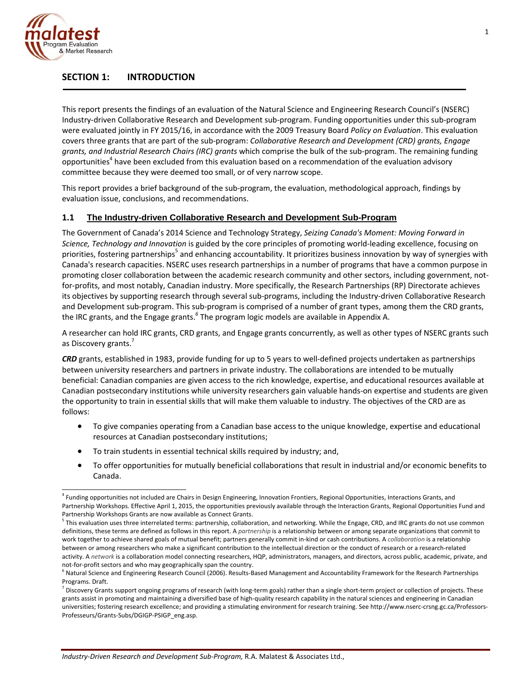

# **SECTION 1: INTRODUCTION**

This report presents the findings of an evaluation of the Natural Science and Engineering Research Council's (NSERC) Industry‐driven Collaborative Research and Development sub‐program. Funding opportunities under this sub‐program were evaluated jointly in FY 2015/16, in accordance with the 2009 Treasury Board *Policy on Evaluation*. This evaluation covers three grants that are part of the sub‐program: *Collaborative Research and Development (CRD) grants, Engage grants, and Industrial Research Chairs (IRC) grants* which comprise the bulk of the sub‐program. The remaining funding opportunities<sup>4</sup> have been excluded from this evaluation based on a recommendation of the evaluation advisory committee because they were deemed too small, or of very narrow scope.

This report provides a brief background of the sub‐program, the evaluation, methodological approach, findings by evaluation issue, conclusions, and recommendations.

## **1.1 The Industry-driven Collaborative Research and Development Sub-Program**

The Government of Canada's 2014 Science and Technology Strategy, *Seizing Canada's Moment: Moving Forward in Science, Technology and Innovation* is guided by the core principles of promoting world‐leading excellence, focusing on priorities, fostering partnerships<sup>5</sup> and enhancing accountability. It prioritizes business innovation by way of synergies with Canada's research capacities. NSERC uses research partnerships in a number of programs that have a common purpose in promoting closer collaboration between the academic research community and other sectors, including government, notfor-profits, and most notably, Canadian industry. More specifically, the Research Partnerships (RP) Directorate achieves its objectives by supporting research through several sub‐programs, including the Industry‐driven Collaborative Research and Development sub-program. This sub-program is comprised of a number of grant types, among them the CRD grants, the IRC grants, and the Engage grants.*<sup>6</sup>* The program logic models are available in Appendix A.

A researcher can hold IRC grants, CRD grants, and Engage grants concurrently, as well as other types of NSERC grants such as Discovery grants.

*CRD* grants, established in 1983, provide funding for up to 5 years to well‐defined projects undertaken as partnerships between university researchers and partners in private industry. The collaborations are intended to be mutually beneficial: Canadian companies are given access to the rich knowledge, expertise, and educational resources available at Canadian postsecondary institutions while university researchers gain valuable hands‐on expertise and students are given the opportunity to train in essential skills that will make them valuable to industry. The objectives of the CRD are as follows:

- To give companies operating from a Canadian base access to the unique knowledge, expertise and educational resources at Canadian postsecondary institutions;
- To train students in essential technical skills required by industry; and,
- To offer opportunities for mutually beneficial collaborations that result in industrial and/or economic benefits to Canada.

<sup>&</sup>lt;sup>4</sup> Funding opportunities not included are Chairs in Design Engineering, Innovation Frontiers, Regional Opportunities, Interactions Grants, and Partnership Workshops. Effective April 1, 2015, the opportunities previously available through the Interaction Grants, Regional Opportunities Fund and Partnership Workshops Grants are now available as Connect Grants.

 $5$  This evaluation uses three interrelated terms: partnership, collaboration, and networking. While the Engage, CRD, and IRC grants do not use common definitions, these terms are defined as follows in this report. A *partnership* is a relationship between or among separate organizations that commit to work together to achieve shared goals of mutual benefit; partners generally commit in‐kind or cash contributions. A *collaboration* is a relationship between or among researchers who make a significant contribution to the intellectual direction or the conduct of research or a research-related activity. A *network* is a collaboration model connecting researchers, HQP, administrators, managers, and directors, across public, academic, private, and not-for-profit sectors and who may geographically span the country.<br><sup>6</sup> Natural Science and Engineering Research Council (2006). Results-Based Management and Accountability Framework for the Research Partnerships

Programs. Draft.

 $^7$  Discovery Grants support ongoing programs of research (with long-term goals) rather than a single short-term project or collection of projects. These grants assist in promoting and maintaining a diversified base of high‐quality research capability in the natural sciences and engineering in Canadian universities; fostering research excellence; and providing a stimulating environment for research training. See http://www.nserc-crsng.gc.ca/Professors-Professeurs/Grants‐Subs/DGIGP‐PSIGP\_eng.asp.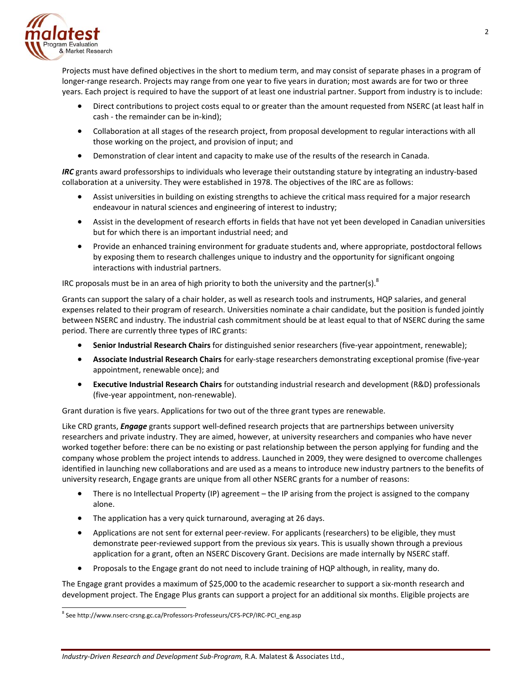

Projects must have defined objectives in the short to medium term, and may consist of separate phases in a program of longer-range research. Projects may range from one year to five years in duration; most awards are for two or three years. Each project is required to have the support of at least one industrial partner. Support from industry is to include:

- Direct contributions to project costs equal to or greater than the amount requested from NSERC (at least half in cash ‐ the remainder can be in‐kind);
- Collaboration at all stages of the research project, from proposal development to regular interactions with all those working on the project, and provision of input; and
- Demonstration of clear intent and capacity to make use of the results of the research in Canada.

*IRC* grants award professorships to individuals who leverage their outstanding stature by integrating an industry‐based collaboration at a university. They were established in 1978. The objectives of the IRC are as follows:

- Assist universities in building on existing strengths to achieve the critical mass required for a major research endeavour in natural sciences and engineering of interest to industry;
- Assist in the development of research efforts in fields that have not yet been developed in Canadian universities but for which there is an important industrial need; and
- Provide an enhanced training environment for graduate students and, where appropriate, postdoctoral fellows by exposing them to research challenges unique to industry and the opportunity for significant ongoing interactions with industrial partners.

IRC proposals must be in an area of high priority to both the university and the partner(s).<sup>8</sup>

Grants can support the salary of a chair holder, as well as research tools and instruments, HQP salaries, and general expenses related to their program of research. Universities nominate a chair candidate, but the position is funded jointly between NSERC and industry. The industrial cash commitment should be at least equal to that of NSERC during the same period. There are currently three types of IRC grants:

- **Senior Industrial Research Chairs** for distinguished senior researchers (five‐year appointment, renewable);
- **Associate Industrial Research Chairs** for early‐stage researchers demonstrating exceptional promise (five‐year appointment, renewable once); and
- **Executive Industrial Research Chairs** for outstanding industrial research and development (R&D) professionals (five‐year appointment, non‐renewable).

Grant duration is five years. Applications for two out of the three grant types are renewable.

Like CRD grants, *Engage* grants support well‐defined research projects that are partnerships between university researchers and private industry. They are aimed, however, at university researchers and companies who have never worked together before: there can be no existing or past relationship between the person applying for funding and the company whose problem the project intends to address. Launched in 2009, they were designed to overcome challenges identified in launching new collaborations and are used as a means to introduce new industry partners to the benefits of university research, Engage grants are unique from all other NSERC grants for a number of reasons:

- There is no Intellectual Property (IP) agreement the IP arising from the project is assigned to the company alone.
- The application has a very quick turnaround, averaging at 26 days.
- Applications are not sent for external peer-review. For applicants (researchers) to be eligible, they must demonstrate peer-reviewed support from the previous six years. This is usually shown through a previous application for a grant, often an NSERC Discovery Grant. Decisions are made internally by NSERC staff.
- Proposals to the Engage grant do not need to include training of HQP although, in reality, many do.

The Engage grant provides a maximum of \$25,000 to the academic researcher to support a six-month research and development project. The Engage Plus grants can support a project for an additional six months. Eligible projects are

<u> 1989 - Johann Barn, mars ann an t-Amhain an t-Amhain ann an t-Amhain an t-Amhain an t-Amhain an t-Amhain ann a</u>

<sup>&</sup>lt;sup>8</sup> See http://www.nserc-crsng.gc.ca/Professors-Professeurs/CFS-PCP/IRC-PCI\_eng.asp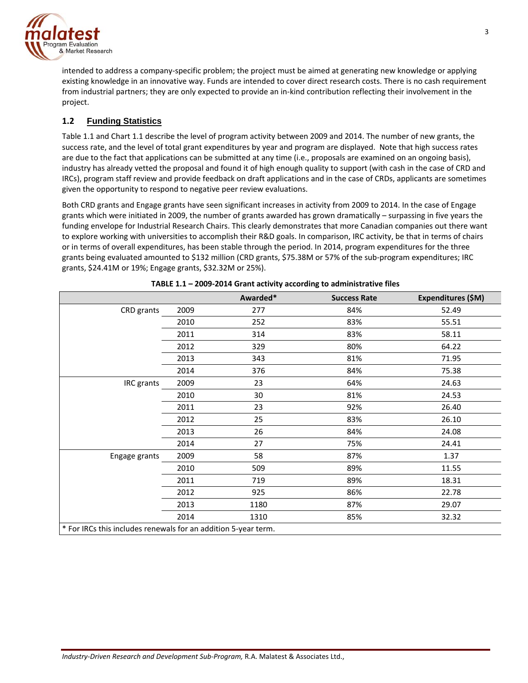

intended to address a company‐specific problem; the project must be aimed at generating new knowledge or applying existing knowledge in an innovative way. Funds are intended to cover direct research costs. There is no cash requirement from industrial partners; they are only expected to provide an in-kind contribution reflecting their involvement in the project.

# **1.2 Funding Statistics**

Table 1.1 and Chart 1.1 describe the level of program activity between 2009 and 2014. The number of new grants, the success rate, and the level of total grant expenditures by year and program are displayed. Note that high success rates are due to the fact that applications can be submitted at any time (i.e., proposals are examined on an ongoing basis), industry has already vetted the proposal and found it of high enough quality to support (with cash in the case of CRD and IRCs), program staff review and provide feedback on draft applications and in the case of CRDs, applicants are sometimes given the opportunity to respond to negative peer review evaluations.

Both CRD grants and Engage grants have seen significant increases in activity from 2009 to 2014. In the case of Engage grants which were initiated in 2009, the number of grants awarded has grown dramatically – surpassing in five years the funding envelope for Industrial Research Chairs. This clearly demonstrates that more Canadian companies out there want to explore working with universities to accomplish their R&D goals. In comparison, IRC activity, be that in terms of chairs or in terms of overall expenditures, has been stable through the period. In 2014, program expenditures for the three grants being evaluated amounted to \$132 million (CRD grants, \$75.38M or 57% of the sub-program expenditures; IRC grants, \$24.41M or 19%; Engage grants, \$32.32M or 25%).

|                                                                |      | Awarded* | <b>Success Rate</b> | Expenditures (\$M) |
|----------------------------------------------------------------|------|----------|---------------------|--------------------|
| CRD grants                                                     | 2009 | 277      | 84%                 | 52.49              |
|                                                                | 2010 | 252      | 83%                 | 55.51              |
|                                                                | 2011 | 314      | 83%                 | 58.11              |
|                                                                | 2012 | 329      | 80%                 | 64.22              |
|                                                                | 2013 | 343      | 81%                 | 71.95              |
|                                                                | 2014 | 376      | 84%                 | 75.38              |
| IRC grants                                                     | 2009 | 23       | 64%                 | 24.63              |
|                                                                | 2010 | 30       | 81%                 | 24.53              |
|                                                                | 2011 | 23       | 92%                 | 26.40              |
|                                                                | 2012 | 25       | 83%                 | 26.10              |
|                                                                | 2013 | 26       | 84%                 | 24.08              |
|                                                                | 2014 | 27       | 75%                 | 24.41              |
| Engage grants                                                  | 2009 | 58       | 87%                 | 1.37               |
|                                                                | 2010 | 509      | 89%                 | 11.55              |
|                                                                | 2011 | 719      | 89%                 | 18.31              |
|                                                                | 2012 | 925      | 86%                 | 22.78              |
|                                                                | 2013 | 1180     | 87%                 | 29.07              |
|                                                                | 2014 | 1310     | 85%                 | 32.32              |
| * For IRCs this includes renewals for an addition 5-year term. |      |          |                     |                    |

| TABLE 1.1 - 2009-2014 Grant activity according to administrative files |
|------------------------------------------------------------------------|
|------------------------------------------------------------------------|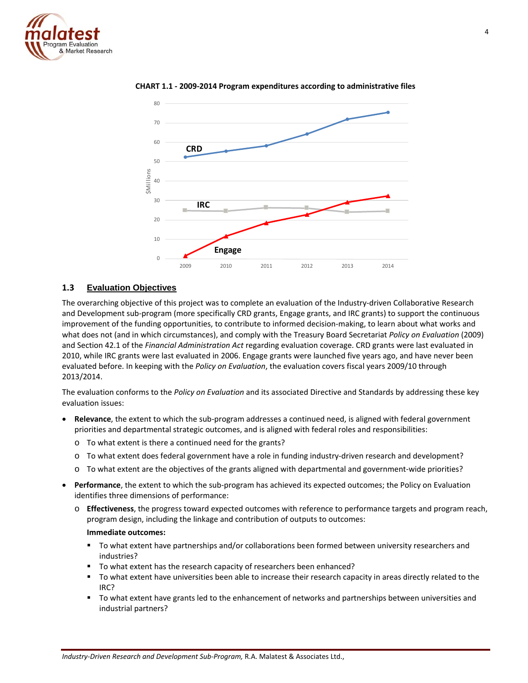



#### **CHART 1.1 ‐ 2009‐2014 Program expenditures according to administrative files**

## **1.3 Evaluation Objectives**

The overarching objective of this project was to complete an evaluation of the Industry-driven Collaborative Research and Development sub‐program (more specifically CRD grants, Engage grants, and IRC grants) to support the continuous improvement of the funding opportunities, to contribute to informed decision-making, to learn about what works and what does not (and in which circumstances), and comply with the Treasury Board Secretariat *Policy on Evaluation* (2009) and Section 42.1 of the *Financial Administration Act* regarding evaluation coverage. CRD grants were last evaluated in 2010, while IRC grants were last evaluated in 2006. Engage grants were launched five years ago, and have never been evaluated before. In keeping with the *Policy on Evaluation*, the evaluation covers fiscal years 2009/10 through 2013/2014.

The evaluation conforms to the *Policy on Evaluation* and its associated Directive and Standards by addressing these key evaluation issues:

- **Relevance**, the extent to which the sub‐program addresses a continued need, is aligned with federal government priorities and departmental strategic outcomes, and is aligned with federal roles and responsibilities:
	- o To what extent is there a continued need for the grants?
	- o To what extent does federal government have a role in funding industry‐driven research and development?
	- o To what extent are the objectives of the grants aligned with departmental and government‐wide priorities?
- **Performance**, the extent to which the sub‐program has achieved its expected outcomes; the Policy on Evaluation identifies three dimensions of performance:
	- o **Effectiveness**, the progress toward expected outcomes with reference to performance targets and program reach, program design, including the linkage and contribution of outputs to outcomes:

### **Immediate outcomes:**

- To what extent have partnerships and/or collaborations been formed between university researchers and industries?
- To what extent has the research capacity of researchers been enhanced?
- To what extent have universities been able to increase their research capacity in areas directly related to the IRC?
- To what extent have grants led to the enhancement of networks and partnerships between universities and industrial partners?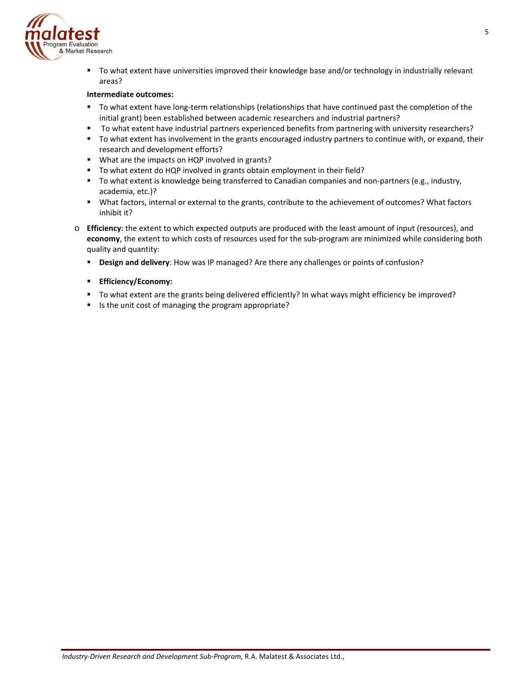

 To what extent have universities improved their knowledge base and/or technology in industrially relevant areas?

## **Intermediate outcomes:**

- To what extent have long-term relationships (relationships that have continued past the completion of the initial grant) been established between academic researchers and industrial partners?
- To what extent have industrial partners experienced benefits from partnering with university researchers?
- To what extent has involvement in the grants encouraged industry partners to continue with, or expand, their research and development efforts?
- **What are the impacts on HQP involved in grants?**
- To what extent do HQP involved in grants obtain employment in their field?
- To what extent is knowledge being transferred to Canadian companies and non-partners (e.g., industry, academia, etc.)?
- What factors, internal or external to the grants, contribute to the achievement of outcomes? What factors inhibit it?
- o **Efficiency**: the extent to which expected outputs are produced with the least amount of input (resources), and **economy**, the extent to which costs of resources used for the sub‐program are minimized while considering both quality and quantity:
	- **Design and delivery**: How was IP managed? Are there any challenges or points of confusion?
	- **Efficiency/Economy:**
	- To what extent are the grants being delivered efficiently? In what ways might efficiency be improved?
	- Is the unit cost of managing the program appropriate?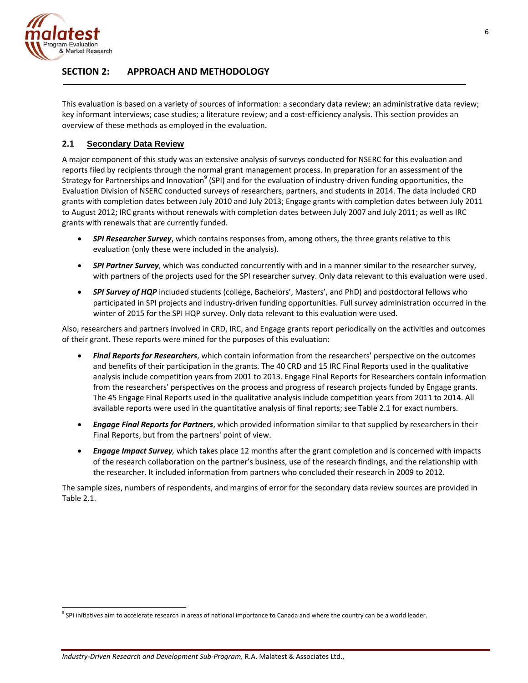

# **SECTION 2: APPROACH AND METHODOLOGY**

This evaluation is based on a variety of sources of information: a secondary data review; an administrative data review; key informant interviews; case studies; a literature review; and a cost-efficiency analysis. This section provides an overview of these methods as employed in the evaluation.

## **2.1 Secondary Data Review**

A major component of this study was an extensive analysis of surveys conducted for NSERC for this evaluation and reports filed by recipients through the normal grant management process. In preparation for an assessment of the Strategy for Partnerships and Innovation<sup>9</sup> (SPI) and for the evaluation of industry-driven funding opportunities, the Evaluation Division of NSERC conducted surveys of researchers, partners, and students in 2014. The data included CRD grants with completion dates between July 2010 and July 2013; Engage grants with completion dates between July 2011 to August 2012; IRC grants without renewals with completion dates between July 2007 and July 2011; as well as IRC grants with renewals that are currently funded.

- *SPI Researcher Survey*, which contains responses from, among others, the three grants relative to this evaluation (only these were included in the analysis).
- *SPI Partner Survey*, which was conducted concurrently with and in a manner similar to the researcher survey, with partners of the projects used for the SPI researcher survey. Only data relevant to this evaluation were used.
- *SPI Survey of HQP* included students (college, Bachelors', Masters', and PhD) and postdoctoral fellows who participated in SPI projects and industry‐driven funding opportunities. Full survey administration occurred in the winter of 2015 for the SPI HQP survey. Only data relevant to this evaluation were used.

Also, researchers and partners involved in CRD, IRC, and Engage grants report periodically on the activities and outcomes of their grant. These reports were mined for the purposes of this evaluation:

- *Final Reports for Researchers*, which contain information from the researchers' perspective on the outcomes and benefits of their participation in the grants. The 40 CRD and 15 IRC Final Reports used in the qualitative analysis include competition years from 2001 to 2013. Engage Final Reports for Researchers contain information from the researchers' perspectives on the process and progress of research projects funded by Engage grants. The 45 Engage Final Reports used in the qualitative analysis include competition years from 2011 to 2014. All available reports were used in the quantitative analysis of final reports; see Table 2.1 for exact numbers.
- *Engage Final Reports for Partners*, which provided information similar to that supplied by researchers in their Final Reports, but from the partners' point of view.
- *Engage Impact Survey,* which takes place 12 months after the grant completion and is concerned with impacts of the research collaboration on the partner's business, use of the research findings, and the relationship with the researcher. It included information from partners who concluded their research in 2009 to 2012.

The sample sizes, numbers of respondents, and margins of error for the secondary data review sources are provided in Table 2.1.

<u> 1989 - Johann Barn, mars ann an t-Amhain an t-Amhain ann an t-Amhain an t-Amhain an t-Amhain an t-Amhain ann a</u>

<sup>&</sup>lt;sup>9</sup> SPI initiatives aim to accelerate research in areas of national importance to Canada and where the country can be a world leader.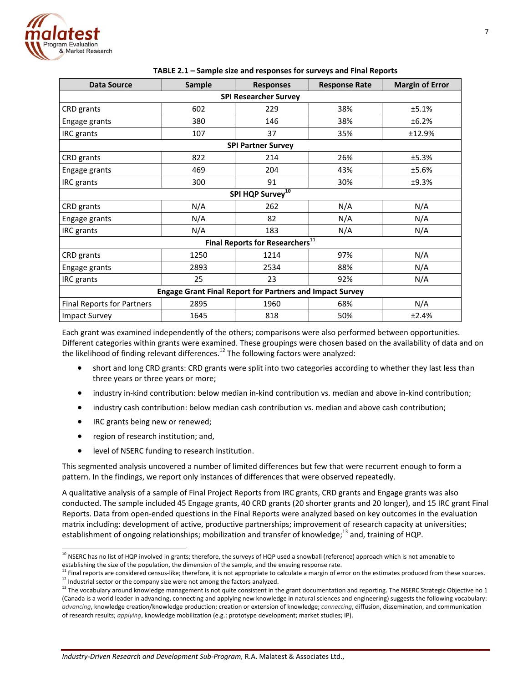

| <b>Data Source</b>                                              | Sample | <b>Responses</b>                             | <b>Response Rate</b> | <b>Margin of Error</b> |  |  |  |
|-----------------------------------------------------------------|--------|----------------------------------------------|----------------------|------------------------|--|--|--|
| <b>SPI Researcher Survey</b>                                    |        |                                              |                      |                        |  |  |  |
| CRD grants                                                      | 602    | 229                                          | 38%                  | ±5.1%                  |  |  |  |
| Engage grants                                                   | 380    | 146                                          | 38%                  | ±6.2%                  |  |  |  |
| IRC grants                                                      | 107    | 37                                           | 35%                  | ±12.9%                 |  |  |  |
|                                                                 |        | <b>SPI Partner Survey</b>                    |                      |                        |  |  |  |
| CRD grants                                                      | 822    | 214                                          | 26%                  | ±5.3%                  |  |  |  |
| Engage grants                                                   | 469    | 204                                          | 43%                  | ±5.6%                  |  |  |  |
| IRC grants                                                      | 300    | 91                                           | 30%                  | ±9.3%                  |  |  |  |
|                                                                 |        | SPI HQP Survey <sup>10</sup>                 |                      |                        |  |  |  |
| CRD grants                                                      | N/A    | 262                                          | N/A                  | N/A                    |  |  |  |
| Engage grants                                                   | N/A    | 82                                           | N/A                  | N/A                    |  |  |  |
| IRC grants                                                      | N/A    | 183                                          | N/A                  | N/A                    |  |  |  |
|                                                                 |        | <b>Final Reports for Researchers</b> $^{11}$ |                      |                        |  |  |  |
| CRD grants                                                      | 1250   | 1214                                         | 97%                  | N/A                    |  |  |  |
| Engage grants                                                   | 2893   | 2534                                         | 88%                  | N/A                    |  |  |  |
| IRC grants                                                      | 25     | 23                                           | 92%                  | N/A                    |  |  |  |
| <b>Engage Grant Final Report for Partners and Impact Survey</b> |        |                                              |                      |                        |  |  |  |
| <b>Final Reports for Partners</b>                               | 2895   | 1960                                         | 68%                  | N/A                    |  |  |  |
| <b>Impact Survey</b>                                            | 1645   | 818                                          | 50%                  | ±2.4%                  |  |  |  |

#### **TABLE 2.1 – Sample size and responses for surveys and Final Reports**

Each grant was examined independently of the others; comparisons were also performed between opportunities. Different categories within grants were examined. These groupings were chosen based on the availability of data and on the likelihood of finding relevant differences.<sup>12</sup> The following factors were analyzed:

- short and long CRD grants: CRD grants were split into two categories according to whether they last less than three years or three years or more;
- industry in‐kind contribution: below median in‐kind contribution vs. median and above in‐kind contribution;
- industry cash contribution: below median cash contribution vs. median and above cash contribution;
- IRC grants being new or renewed;
- region of research institution; and,

<u> 1989 - Johann Stoff, Amerikaansk politiker († 1958)</u>

level of NSERC funding to research institution.

This segmented analysis uncovered a number of limited differences but few that were recurrent enough to form a pattern. In the findings, we report only instances of differences that were observed repeatedly.

A qualitative analysis of a sample of Final Project Reports from IRC grants, CRD grants and Engage grants was also conducted. The sample included 45 Engage grants, 40 CRD grants (20 shorter grants and 20 longer), and 15 IRC grant Final Reports. Data from open‐ended questions in the Final Reports were analyzed based on key outcomes in the evaluation matrix including: development of active, productive partnerships; improvement of research capacity at universities; establishment of ongoing relationships; mobilization and transfer of knowledge;<sup>13</sup> and, training of HQP.

7

 $^{10}$  NSERC has no list of HQP involved in grants; therefore, the surveys of HQP used a snowball (reference) approach which is not amenable to establishing the size of the population, the dimension of the sample, and the ensuing response rate.<br><sup>11</sup> Final reports are considered census-like; therefore, it is not appropriate to calculate a margin of error on the est

 $12$  Industrial sector or the company size were not among the factors analyzed.

 $13$  The vocabulary around knowledge management is not quite consistent in the grant documentation and reporting. The NSERC Strategic Objective no 1 (Canada is a world leader in advancing, connecting and applying new knowledge in natural sciences and engineering) suggests the following vocabulary: *advancing*, knowledge creation/knowledge production; creation or extension of knowledge; *connecting*, diffusion, dissemination, and communication of research results; *applying*, knowledge mobilization (e.g.: prototype development; market studies; IP).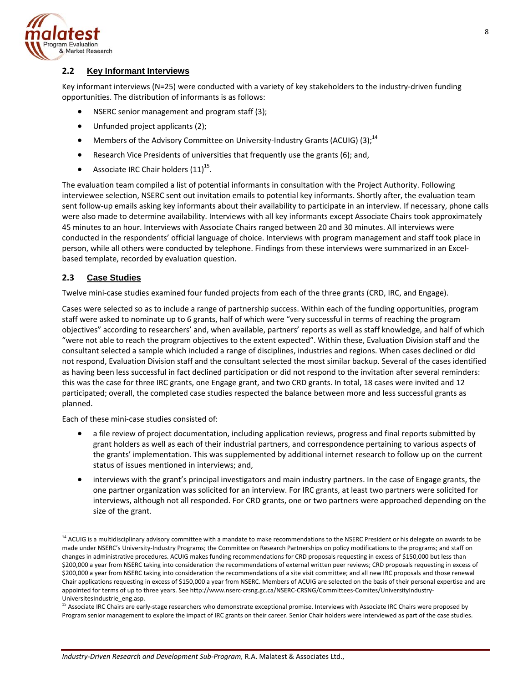

## **2.2 Key Informant Interviews**

Key informant interviews (N=25) were conducted with a variety of key stakeholders to the industry‐driven funding opportunities. The distribution of informants is as follows:

- NSERC senior management and program staff (3);
- Unfunded project applicants (2);
- Members of the Advisory Committee on University-Industry Grants (ACUIG) (3);<sup>14</sup>
- Research Vice Presidents of universities that frequently use the grants (6); and,
- Associate IRC Chair holders  $(11)^{15}$ .

The evaluation team compiled a list of potential informants in consultation with the Project Authority. Following interviewee selection, NSERC sent out invitation emails to potential key informants. Shortly after, the evaluation team sent follow-up emails asking key informants about their availability to participate in an interview. If necessary, phone calls were also made to determine availability. Interviews with all key informants except Associate Chairs took approximately 45 minutes to an hour. Interviews with Associate Chairs ranged between 20 and 30 minutes. All interviews were conducted in the respondents' official language of choice. Interviews with program management and staff took place in person, while all others were conducted by telephone. Findings from these interviews were summarized in an Excelbased template, recorded by evaluation question.

## **2.3 Case Studies**

Twelve mini-case studies examined four funded projects from each of the three grants (CRD, IRC, and Engage).

Cases were selected so as to include a range of partnership success. Within each of the funding opportunities, program staff were asked to nominate up to 6 grants, half of which were "very successful in terms of reaching the program objectives" according to researchers' and, when available, partners' reports as well as staff knowledge, and half of which "were not able to reach the program objectives to the extent expected". Within these, Evaluation Division staff and the consultant selected a sample which included a range of disciplines, industries and regions. When cases declined or did not respond, Evaluation Division staff and the consultant selected the most similar backup. Several of the cases identified as having been less successful in fact declined participation or did not respond to the invitation after several reminders: this was the case for three IRC grants, one Engage grant, and two CRD grants. In total, 18 cases were invited and 12 participated; overall, the completed case studies respected the balance between more and less successful grants as planned.

Each of these mini‐case studies consisted of:

- a file review of project documentation, including application reviews, progress and final reports submitted by grant holders as well as each of their industrial partners, and correspondence pertaining to various aspects of the grants' implementation. This was supplemented by additional internet research to follow up on the current status of issues mentioned in interviews; and,
- interviews with the grant's principal investigators and main industry partners. In the case of Engage grants, the one partner organization was solicited for an interview. For IRC grants, at least two partners were solicited for interviews, although not all responded. For CRD grants, one or two partners were approached depending on the size of the grant.

<sup>&</sup>lt;sup>14</sup> ACUIG is a multidisciplinary advisory committee with a mandate to make recommendations to the NSERC President or his delegate on awards to be made under NSERC's University‐Industry Programs; the Committee on Research Partnerships on policy modifications to the programs; and staff on changes in administrative procedures. ACUIG makes funding recommendations for CRD proposals requesting in excess of \$150,000 but less than \$200,000 a year from NSERC taking into consideration the recommendations of external written peer reviews; CRD proposals requesting in excess of \$200,000 a year from NSERC taking into consideration the recommendations of a site visit committee; and all new IRC proposals and those renewal Chair applications requesting in excess of \$150,000 a year from NSERC. Members of ACUIG are selected on the basis of their personal expertise and are appointed for terms of up to three years. See http://www.nserc-crsng.gc.ca/NSERC-CRSNG/Committees-Comites/UniversityIndustry-UniversitesIndustrie\_eng.asp.

<sup>&</sup>lt;sup>15</sup> Associate IRC Chairs are early-stage researchers who demonstrate exceptional promise. Interviews with Associate IRC Chairs were proposed by Program senior management to explore the impact of IRC grants on their career. Senior Chair holders were interviewed as part of the case studies.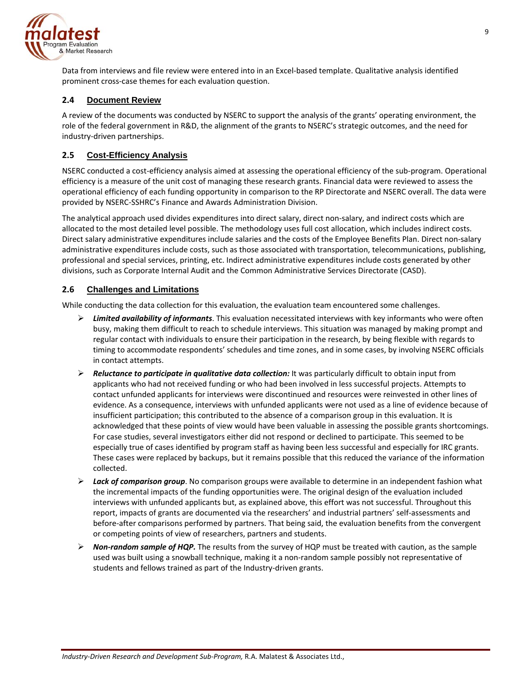

Data from interviews and file review were entered into in an Excel‐based template. Qualitative analysis identified prominent cross‐case themes for each evaluation question.

## **2.4 Document Review**

A review of the documents was conducted by NSERC to support the analysis of the grants' operating environment, the role of the federal government in R&D, the alignment of the grants to NSERC's strategic outcomes, and the need for industry‐driven partnerships.

## **2.5 Cost-Efficiency Analysis**

NSERC conducted a cost‐efficiency analysis aimed at assessing the operational efficiency of the sub‐program. Operational efficiency is a measure of the unit cost of managing these research grants. Financial data were reviewed to assess the operational efficiency of each funding opportunity in comparison to the RP Directorate and NSERC overall. The data were provided by NSERC‐SSHRC's Finance and Awards Administration Division.

The analytical approach used divides expenditures into direct salary, direct non-salary, and indirect costs which are allocated to the most detailed level possible. The methodology uses full cost allocation, which includes indirect costs. Direct salary administrative expenditures include salaries and the costs of the Employee Benefits Plan. Direct non‐salary administrative expenditures include costs, such as those associated with transportation, telecommunications, publishing, professional and special services, printing, etc. Indirect administrative expenditures include costs generated by other divisions, such as Corporate Internal Audit and the Common Administrative Services Directorate (CASD).

## **2.6 Challenges and Limitations**

While conducting the data collection for this evaluation, the evaluation team encountered some challenges.

- *Limited availability of informants*. This evaluation necessitated interviews with key informants who were often busy, making them difficult to reach to schedule interviews. This situation was managed by making prompt and regular contact with individuals to ensure their participation in the research, by being flexible with regards to timing to accommodate respondents' schedules and time zones, and in some cases, by involving NSERC officials in contact attempts.
- *Reluctance to participate in qualitative data collection:* It was particularly difficult to obtain input from applicants who had not received funding or who had been involved in less successful projects. Attempts to contact unfunded applicants for interviews were discontinued and resources were reinvested in other lines of evidence. As a consequence, interviews with unfunded applicants were not used as a line of evidence because of insufficient participation; this contributed to the absence of a comparison group in this evaluation. It is acknowledged that these points of view would have been valuable in assessing the possible grants shortcomings. For case studies, several investigators either did not respond or declined to participate. This seemed to be especially true of cases identified by program staff as having been less successful and especially for IRC grants. These cases were replaced by backups, but it remains possible that this reduced the variance of the information collected.
- *Lack of comparison group*. No comparison groups were available to determine in an independent fashion what the incremental impacts of the funding opportunities were. The original design of the evaluation included interviews with unfunded applicants but, as explained above, this effort was not successful. Throughout this report, impacts of grants are documented via the researchers' and industrial partners' self‐assessments and before‐after comparisons performed by partners. That being said, the evaluation benefits from the convergent or competing points of view of researchers, partners and students.
- *Non‐random sample of HQP.* The results from the survey of HQP must be treated with caution, as the sample used was built using a snowball technique, making it a non‐random sample possibly not representative of students and fellows trained as part of the Industry‐driven grants.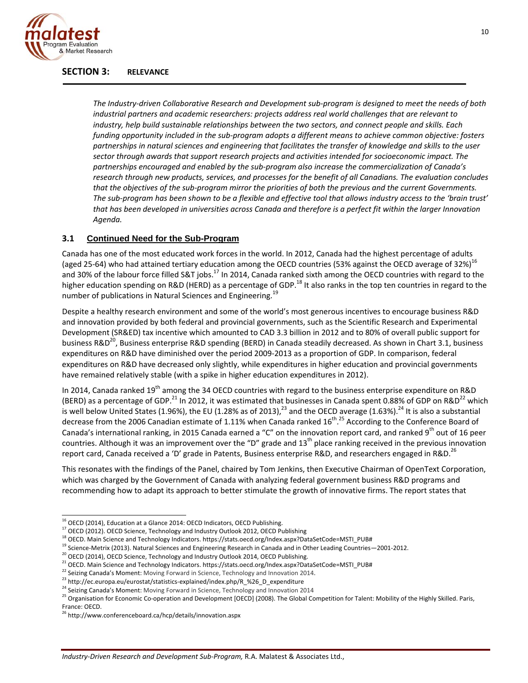

## **SECTION 3: RELEVANCE**

The Industry-driven Collaborative Research and Development sub-program is designed to meet the needs of both *industrial partners and academic researchers: projects address real world challenges that are relevant to industry, help build sustainable relationships between the two sectors, and connect people and skills. Each* funding opportunity included in the sub-program adopts a different means to achieve common objective: fosters partnerships in natural sciences and engineering that facilitates the transfer of knowledge and skills to the user *sector through awards that support research projects and activities intended for socioeconomic impact. The partnerships encouraged and enabled by the sub‐program also increase the commercialization of Canada's* research through new products, services, and processes for the benefit of all Canadians. The evaluation concludes that the objectives of the sub-program mirror the priorities of both the previous and the current Governments. The sub-program has been shown to be a flexible and effective tool that allows industry access to the 'brain trust' that has been developed in universities across Canada and therefore is a perfect fit within the larger Innovation *Agenda.*

## **3.1 Continued Need for the Sub-Program**

Canada has one of the most educated work forces in the world. In 2012, Canada had the highest percentage of adults (aged 25-64) who had attained tertiary education among the OECD countries (53% against the OECD average of 32%)<sup>16</sup> and 30% of the labour force filled S&T jobs.<sup>17</sup> In 2014, Canada ranked sixth among the OECD countries with regard to the higher education spending on R&D (HERD) as a percentage of GDP.<sup>18</sup> It also ranks in the top ten countries in regard to the number of publications in Natural Sciences and Engineering.<sup>19</sup>

Despite a healthy research environment and some of the world's most generous incentives to encourage business R&D and innovation provided by both federal and provincial governments, such as the Scientific Research and Experimental Development (SR&ED) tax incentive which amounted to CAD 3.3 billion in 2012 and to 80% of overall public support for business R&D<sup>20</sup>, Business enterprise R&D spending (BERD) in Canada steadily decreased. As shown in Chart 3.1, business expenditures on R&D have diminished over the period 2009‐2013 as a proportion of GDP. In comparison, federal expenditures on R&D have decreased only slightly, while expenditures in higher education and provincial governments have remained relatively stable (with a spike in higher education expenditures in 2012).

In 2014, Canada ranked 19<sup>th</sup> among the 34 OECD countries with regard to the business enterprise expenditure on R&D (BERD) as a percentage of GDP.<sup>21</sup> In 2012, it was estimated that businesses in Canada spent 0.88% of GDP on R&D<sup>22</sup> which is well below United States (1.96%), the EU (1.28% as of 2013), $^{23}$  and the OECD average (1.63%). $^{24}$  It is also a substantial decrease from the 2006 Canadian estimate of 1.11% when Canada ranked 16<sup>th 25</sup> According to the Conference Board of Canada's international ranking, in 2015 Canada earned a "C" on the innovation report card, and ranked  $9<sup>th</sup>$  out of 16 peer countries. Although it was an improvement over the "D" grade and  $13<sup>th</sup>$  place ranking received in the previous innovation report card, Canada received a 'D' grade in Patents, Business enterprise R&D, and researchers engaged in R&D.<sup>26</sup>

This resonates with the findings of the Panel, chaired by Tom Jenkins, then Executive Chairman of OpenText Corporation, which was charged by the Government of Canada with analyzing federal government business R&D programs and recommending how to adapt its approach to better stimulate the growth of innovative firms. The report states that

*Industry‐Driven Research and Development Sub‐Program,* R.A. Malatest & Associates Ltd.,

<sup>&</sup>lt;u> 1989 - Johann Stoff, Amerikaansk politiker († 1958)</u>  $^{16}$  OECD (2014), Education at a Glance 2014: OECD Indicators, OECD Publishing.

<sup>&</sup>lt;sup>17</sup> OECD (2012). OECD Science, Technology and Industry Outlook 2012, OECD Publishing<br><sup>18</sup> OECD. Main Science and Technology Indicators. https://stats.oecd.org/Index.aspx?DataSetCode=MSTI\_PUB#

<sup>&</sup>lt;sup>19</sup> Science-Metrix (2013). Natural Sciences and Engineering Research in Canada and in Other Leading Countries—2001-2012.

 $^{20}$  OECD (2014), OECD Science, Technology and Industry Outlook 2014, OECD Publishing.

<sup>&</sup>lt;sup>21</sup> OECD. Main Science and Technology Indicators. https://stats.oecd.org/Index.aspx?DataSetCode=MSTI\_PUB#  $^{22}$  Seizing Canada's Moment: Moving Forward in Science, Technology and Innovation 2014.

<sup>&</sup>lt;sup>23</sup> http://ec.europa.eu/eurostat/statistics-explained/index.php/R\_%26\_D\_expenditure

<sup>&</sup>lt;sup>24</sup> Seizing Canada's Moment: Moving Forward in Science, Technology and Innovation 2014

<sup>&</sup>lt;sup>25</sup> Organisation for Economic Co-operation and Development [OECD] (2008). The Global Competition for Talent: Mobility of the Highly Skilled. Paris, France: OECD.

<sup>&</sup>lt;sup>26</sup> http://www.conferenceboard.ca/hcp/details/innovation.aspx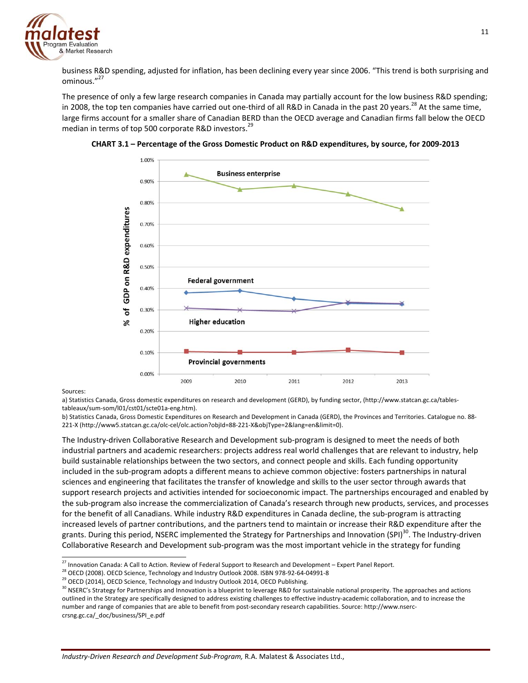

business R&D spending, adjusted for inflation, has been declining every year since 2006. "This trend is both surprising and ominous."27

The presence of only a few large research companies in Canada may partially account for the low business R&D spending; in 2008, the top ten companies have carried out one-third of all R&D in Canada in the past 20 years.<sup>28</sup> At the same time, large firms account for a smaller share of Canadian BERD than the OECD average and Canadian firms fall below the OECD median in terms of top 500 corporate R&D investors.<sup>29</sup>





Sources:

a) Statistics Canada, Gross domestic expenditures on research and development (GERD), by funding sector, (http://www.statcan.gc.ca/tablestableaux/sum‐som/l01/cst01/scte01a‐eng.htm).

b) Statistics Canada, Gross Domestic Expenditures on Research and Development in Canada (GERD), the Provinces and Territories. Catalogue no. 88‐ 221‐X (http://www5.statcan.gc.ca/olc‐cel/olc.action?objId=88‐221‐X&objType=2&lang=en&limit=0).

The Industry‐driven Collaborative Research and Development sub‐program is designed to meet the needs of both industrial partners and academic researchers: projects address real world challenges that are relevant to industry, help build sustainable relationships between the two sectors, and connect people and skills. Each funding opportunity included in the sub‐program adopts a different means to achieve common objective: fosters partnerships in natural sciences and engineering that facilitates the transfer of knowledge and skills to the user sector through awards that support research projects and activities intended for socioeconomic impact. The partnerships encouraged and enabled by the sub‐program also increase the commercialization of Canada's research through new products, services, and processes for the benefit of all Canadians. While industry R&D expenditures in Canada decline, the sub-program is attracting increased levels of partner contributions, and the partners tend to maintain or increase their R&D expenditure after the grants. During this period, NSERC implemented the Strategy for Partnerships and Innovation (SPI)<sup>30</sup>. The Industry-driven Collaborative Research and Development sub‐program was the most important vehicle in the strategy for funding

<u> 1989 - Johann Stoff, Amerikaansk politiker († 1958)</u>

*Industry‐Driven Research and Development Sub‐Program,* R.A. Malatest & Associates Ltd.,

<sup>&</sup>lt;sup>27</sup> Innovation Canada: A Call to Action. Review of Federal Support to Research and Development – Expert Panel Report.<br><sup>28</sup> OECD (2008). OECD Science, Technology and Industry Outlook 2008. ISBN 978‐92‐64‐04991‐8

<sup>&</sup>lt;sup>28</sup> OECD (2008). OECD Science, Technology and Industry Outlook 2008. ISBN 978-92-64-04991-8<br><sup>29</sup> OECD (2014), OECD Science, Technology and Industry Outlook 2014, OECD Publishing.

<sup>&</sup>lt;sup>30</sup> NSERC's Strategy for Partnerships and Innovation is a blueprint to leverage R&D for sustainable national prosperity. The approaches and actions outlined in the Strategy are specifically designed to address existing challenges to effective industry‐academic collaboration, and to increase the number and range of companies that are able to benefit from post‐secondary research capabilities. Source: http://www.nserc‐ crsng.gc.ca/\_doc/business/SPI\_e.pdf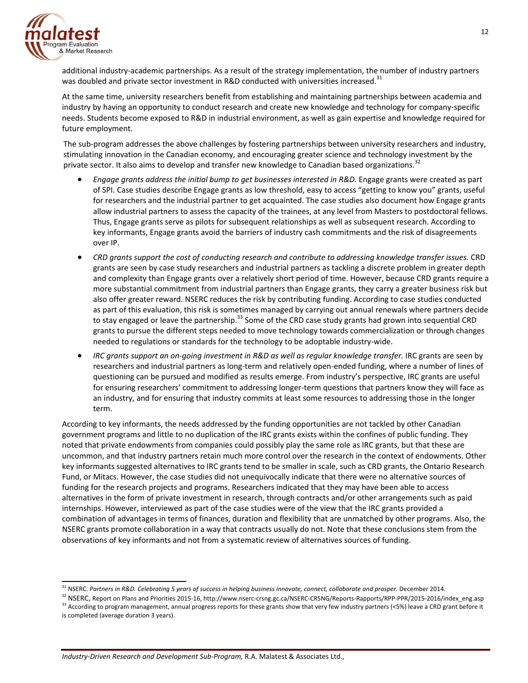

additional industry‐academic partnerships. As a result of the strategy implementation, the number of industry partners was doubled and private sector investment in R&D conducted with universities increased.<sup>31</sup>

At the same time, university researchers benefit from establishing and maintaining partnerships between academia and industry by having an opportunity to conduct research and create new knowledge and technology for company‐specific needs. Students become exposed to R&D in industrial environment, as well as gain expertise and knowledge required for future employment.

The sub-program addresses the above challenges by fostering partnerships between university researchers and industry, stimulating innovation in the Canadian economy, and encouraging greater science and technology investment by the private sector. It also aims to develop and transfer new knowledge to Canadian based organizations.<sup>32</sup>

- *Engage grants address the initial bump to get businesses interested in R&D.* Engage grants were created as part of SPI. Case studies describe Engage grants as low threshold, easy to access "getting to know you" grants, useful for researchers and the industrial partner to get acquainted. The case studies also document how Engage grants allow industrial partners to assess the capacity of the trainees, at any level from Masters to postdoctoral fellows. Thus, Engage grants serve as pilots for subsequent relationships as well as subsequent research. According to key informants, Engage grants avoid the barriers of industry cash commitments and the risk of disagreements over IP.
- *CRD grants support the cost of conducting research and contribute to addressing knowledge transfer issues.* CRD grants are seen by case study researchers and industrial partners as tackling a discrete problem in greater depth and complexity than Engage grants over a relatively short period of time. However, because CRD grants require a more substantial commitment from industrial partners than Engage grants, they carry a greater business risk but also offer greater reward. NSERC reduces the risk by contributing funding. According to case studies conducted as part of this evaluation, this risk is sometimes managed by carrying out annual renewals where partners decide to stay engaged or leave the partnership.<sup>33</sup> Some of the CRD case study grants had grown into sequential CRD grants to pursue the different steps needed to move technology towards commercialization or through changes needed to regulations or standards for the technology to be adoptable industry‐wide.
- *IRC grants support an on‐going investment in R&D as well as regular knowledge transfer.* IRC grants are seen by researchers and industrial partners as long‐term and relatively open‐ended funding, where a number of lines of questioning can be pursued and modified as results emerge. From industry's perspective, IRC grants are useful for ensuring researchers' commitment to addressing longer‐term questions that partners know they will face as an industry, and for ensuring that industry commits at least some resources to addressing those in the longer term.

According to key informants, the needs addressed by the funding opportunities are not tackled by other Canadian government programs and little to no duplication of the IRC grants exists within the confines of public funding. They noted that private endowments from companies could possibly play the same role as IRC grants, but that these are uncommon, and that industry partners retain much more control over the research in the context of endowments. Other key informants suggested alternatives to IRC grants tend to be smaller in scale, such as CRD grants, the Ontario Research Fund, or Mitacs. However, the case studies did not unequivocally indicate that there were no alternative sources of funding for the research projects and programs. Researchers indicated that they may have been able to access alternatives in the form of private investment in research, through contracts and/or other arrangements such as paid internships. However, interviewed as part of the case studies were of the view that the IRC grants provided a combination of advantages in terms of finances, duration and flexibility that are unmatched by other programs. Also, the NSERC grants promote collaboration in a way that contracts usually do not. Note that these conclusions stem from the observations of key informants and not from a systematic review of alternatives sources of funding.

*Industry‐Driven Research and Development Sub‐Program,* R.A. Malatest & Associates Ltd.,

<u> 1989 - Johann Stoff, Amerikaansk politiker († 1958)</u>

<sup>&</sup>lt;sup>31</sup> NSERC. Partners in R&D. Celebrating 5 years of success in helping business innovate, connect, collaborate and prosper. December 2014.

 $^{32}$  NSERC, Report on Plans and Priorities 2015-16, http://www.nserc-crsng.gc.ca/NSERC-CRSNG/Reports-Rapports/RPP-PPR/2015-2016/index\_eng.asp<br> $^{33}$  According to program management, annual progress reports for these gra

is completed (average duration 3 years).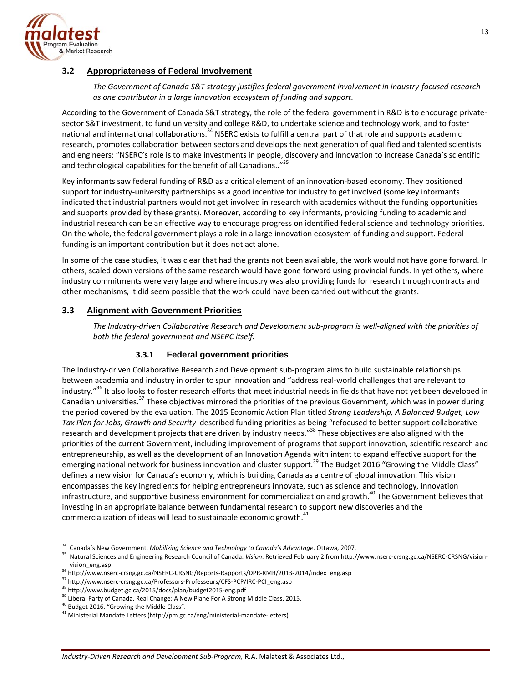

## **3.2 Appropriateness of Federal Involvement**

## *The Government of Canada S&T strategy justifies federal government involvement in industry‐focused research as one contributor in a large innovation ecosystem of funding and support.*

According to the Government of Canada S&T strategy, the role of the federal government in R&D is to encourage private‐ sector S&T investment, to fund university and college R&D, to undertake science and technology work, and to foster national and international collaborations.<sup>34</sup> NSERC exists to fulfill a central part of that role and supports academic research, promotes collaboration between sectors and develops the next generation of qualified and talented scientists and engineers: "NSERC's role is to make investments in people, discovery and innovation to increase Canada's scientific and technological capabilities for the benefit of all Canadians.."<sup>35</sup>

Key informants saw federal funding of R&D as a critical element of an innovation‐based economy. They positioned support for industry-university partnerships as a good incentive for industry to get involved (some key informants indicated that industrial partners would not get involved in research with academics without the funding opportunities and supports provided by these grants). Moreover, according to key informants, providing funding to academic and industrial research can be an effective way to encourage progress on identified federal science and technology priorities. On the whole, the federal government plays a role in a large innovation ecosystem of funding and support. Federal funding is an important contribution but it does not act alone.

In some of the case studies, it was clear that had the grants not been available, the work would not have gone forward. In others, scaled down versions of the same research would have gone forward using provincial funds. In yet others, where industry commitments were very large and where industry was also providing funds for research through contracts and other mechanisms, it did seem possible that the work could have been carried out without the grants.

# **3.3 Alignment with Government Priorities**

The Industry-driven Collaborative Research and Development sub-program is well-aligned with the priorities of *both the federal government and NSERC itself.*

## **3.3.1 Federal government priorities**

The Industry‐driven Collaborative Research and Development sub‐program aims to build sustainable relationships between academia and industry in order to spur innovation and "address real‐world challenges that are relevant to industry."<sup>36</sup> It also looks to foster research efforts that meet industrial needs in fields that have not yet been developed in Canadian universities.<sup>37</sup> These objectives mirrored the priorities of the previous Government, which was in power during the period covered by the evaluation. The 2015 Economic Action Plan titled *Strong Leadership, A Balanced Budget, Low Tax Plan for Jobs, Growth and Security* described funding priorities as being "refocused to better support collaborative research and development projects that are driven by industry needs."38 These objectives are also aligned with the priorities of the current Government, including improvement of programs that support innovation, scientific research and entrepreneurship, as well as the development of an Innovation Agenda with intent to expand effective support for the emerging national network for business innovation and cluster support.<sup>39</sup> The Budget 2016 "Growing the Middle Class" defines a new vision for Canada's economy, which is building Canada as a centre of global innovation. This vision encompasses the key ingredients for helping entrepreneurs innovate, such as science and technology, innovation infrastructure, and supportive business environment for commercialization and growth.<sup>40</sup> The Government believes that investing in an appropriate balance between fundamental research to support new discoveries and the commercialization of ideas will lead to sustainable economic growth.<sup>41</sup>

<u> 1989 - Johann Stoff, Amerikaansk politiker († 1958)</u>

<sup>34</sup> Canada's New Government. *Mobilizing Science and Technology to Canada's Advantage*. Ottawa, 2007.

<sup>35</sup> Natural Sciences and Engineering Research Council of Canada. *Vision*. Retrieved February 2 from http://www.nserc‐crsng.gc.ca/NSERC‐CRSNG/vision‐

vision\_eng.asp <sup>36</sup> http://www.nserc‐crsng.gc.ca/NSERC‐CRSNG/Reports‐Rapports/DPR‐RMR/2013‐2014/index\_eng.asp

<sup>37</sup> http://www.nserc‐crsng.gc.ca/Professors‐Professeurs/CFS‐PCP/IRC‐PCI\_eng.asp

<sup>38</sup> http://www.budget.gc.ca/2015/docs/plan/budget2015‐eng.pdf

<sup>&</sup>lt;sup>39</sup> Liberal Party of Canada. Real Change: A New Plane For A Strong Middle Class, 2015.<br><sup>40</sup> Budget 2016. "Growing the Middle Class".

<sup>41</sup> Ministerial Mandate Letters (http://pm.gc.ca/eng/ministerial‐mandate‐letters)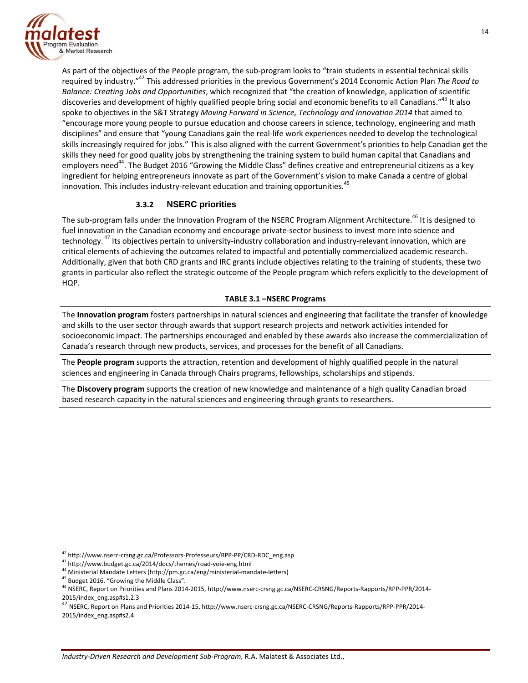

As part of the objectives of the People program, the sub-program looks to "train students in essential technical skills required by industry."42 This addressed priorities in the previous Government's 2014 Economic Action Plan *The Road to Balance: Creating Jobs and Opportunities*, which recognized that "the creation of knowledge, application of scientific discoveries and development of highly qualified people bring social and economic benefits to all Canadians."43 It also spoke to objectives in the S&T Strategy *Moving Forward in Science, Technology and Innovation 2014* that aimed to "encourage more young people to pursue education and choose careers in science, technology, engineering and math disciplines" and ensure that "young Canadians gain the real‐life work experiences needed to develop the technological skills increasingly required for jobs." This is also aligned with the current Government's priorities to help Canadian get the skills they need for good quality jobs by strengthening the training system to build human capital that Canadians and employers need<sup>44</sup>. The Budget 2016 "Growing the Middle Class" defines creative and entrepreneurial citizens as a key ingredient for helping entrepreneurs innovate as part of the Government's vision to make Canada a centre of global innovation. This includes industry-relevant education and training opportunities.<sup>45</sup>

## **3.3.2 NSERC priorities**

The sub-program falls under the Innovation Program of the NSERC Program Alignment Architecture.<sup>46</sup> It is designed to fuel innovation in the Canadian economy and encourage private-sector business to invest more into science and technology. <sup>47</sup> Its objectives pertain to university-industry collaboration and industry-relevant innovation, which are critical elements of achieving the outcomes related to impactful and potentially commercialized academic research. Additionally, given that both CRD grants and IRC grants include objectives relating to the training of students, these two grants in particular also reflect the strategic outcome of the People program which refers explicitly to the development of HQP.

## **TABLE 3.1 –NSERC Programs**

The **Innovation program** fosters partnerships in natural sciences and engineering that facilitate the transfer of knowledge and skills to the user sector through awards that support research projects and network activities intended for socioeconomic impact. The partnerships encouraged and enabled by these awards also increase the commercialization of Canada's research through new products, services, and processes for the benefit of all Canadians.

The **People program** supports the attraction, retention and development of highly qualified people in the natural sciences and engineering in Canada through Chairs programs, fellowships, scholarships and stipends.

The **Discovery program** supports the creation of new knowledge and maintenance of a high quality Canadian broad based research capacity in the natural sciences and engineering through grants to researchers.

 <sup>42</sup> http://www.nserc‐crsng.gc.ca/Professors‐Professeurs/RPP‐PP/CRD‐RDC\_eng.asp

<sup>43</sup> http://www.budget.gc.ca/2014/docs/themes/road‐voie‐eng.html

<sup>44</sup> Ministerial Mandate Letters (http://pm.gc.ca/eng/ministerial‐mandate‐letters)

<sup>&</sup>lt;sup>45</sup> Budget 2016. "Growing the Middle Class".

<sup>46</sup> NSERC, Report on Priorities and Plans 2014‐2015, http://www.nserc‐crsng.gc.ca/NSERC‐CRSNG/Reports‐Rapports/RPP‐PPR/2014‐ 2015/index\_eng.asp#s1.2.3

<sup>47</sup> NSERC, Report on Plans and Priorities 2014‐15, http://www.nserc‐crsng.gc.ca/NSERC‐CRSNG/Reports‐Rapports/RPP‐PPR/2014‐ 2015/index\_eng.asp#s2.4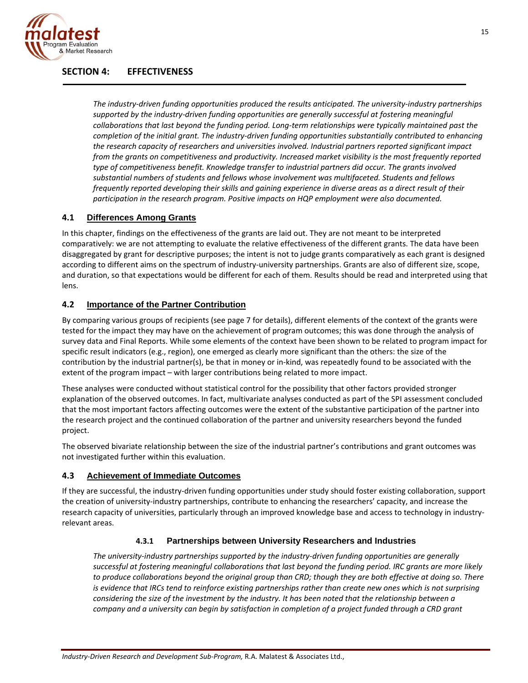

# **SECTION 4: EFFECTIVENESS**

*The industry‐driven funding opportunities produced the results anticipated. The university‐industry partnerships supported by the industry‐driven funding opportunities are generally successful at fostering meaningful collaborations that last beyond the funding period. Long‐term relationships were typically maintained past the completion of the initial grant. The industry‐driven funding opportunities substantially contributed to enhancing the research capacity of researchers and universities involved. Industrial partners reported significant impact from the grants on competitiveness and productivity. Increased market visibility is the most frequently reported type of competitiveness benefit. Knowledge transfer to industrial partners did occur. The grants involved substantial numbers of students and fellows whose involvement was multifaceted. Students and fellows* frequently reported developing their skills and gaining experience in diverse areas as a direct result of their *participation in the research program. Positive impacts on HQP employment were also documented.*

# **4.1 Differences Among Grants**

In this chapter, findings on the effectiveness of the grants are laid out. They are not meant to be interpreted comparatively: we are not attempting to evaluate the relative effectiveness of the different grants. The data have been disaggregated by grant for descriptive purposes; the intent is not to judge grants comparatively as each grant is designed according to different aims on the spectrum of industry-university partnerships. Grants are also of different size, scope, and duration, so that expectations would be different for each of them. Results should be read and interpreted using that lens.

## **4.2 Importance of the Partner Contribution**

By comparing various groups of recipients (see page 7 for details), different elements of the context of the grants were tested for the impact they may have on the achievement of program outcomes; this was done through the analysis of survey data and Final Reports. While some elements of the context have been shown to be related to program impact for specific result indicators (e.g., region), one emerged as clearly more significant than the others: the size of the contribution by the industrial partner(s), be that in money or in‐kind, was repeatedly found to be associated with the extent of the program impact – with larger contributions being related to more impact.

These analyses were conducted without statistical control for the possibility that other factors provided stronger explanation of the observed outcomes. In fact, multivariate analyses conducted as part of the SPI assessment concluded that the most important factors affecting outcomes were the extent of the substantive participation of the partner into the research project and the continued collaboration of the partner and university researchers beyond the funded project.

The observed bivariate relationship between the size of the industrial partner's contributions and grant outcomes was not investigated further within this evaluation.

## **4.3 Achievement of Immediate Outcomes**

If they are successful, the industry‐driven funding opportunities under study should foster existing collaboration, support the creation of university-industry partnerships, contribute to enhancing the researchers' capacity, and increase the research capacity of universities, particularly through an improved knowledge base and access to technology in industry‐ relevant areas.

## **4.3.1 Partnerships between University Researchers and Industries**

*The university‐industry partnerships supported by the industry‐driven funding opportunities are generally* successful at fostering meaningful collaborations that last beyond the funding period. IRC grants are more likely to produce collaborations beyond the original group than CRD; though they are both effective at doing so. There is evidence that IRCs tend to reinforce existing partnerships rather than create new ones which is not surprising considering the size of the investment by the industry. It has been noted that the relationship between a company and a university can begin by satisfaction in completion of a project funded through a CRD grant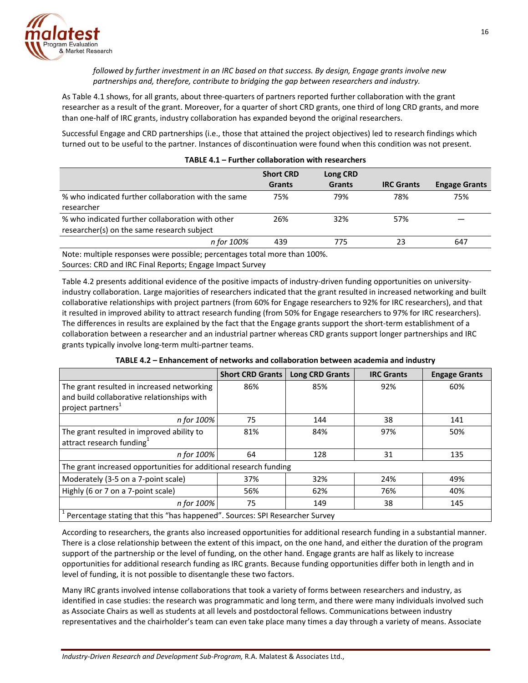

*followed by further investment in an IRC based on that success. By design, Engage grants involve new partnerships and, therefore, contribute to bridging the gap between researchers and industry.* 

As Table 4.1 shows, for all grants, about three‐quarters of partners reported further collaboration with the grant researcher as a result of the grant. Moreover, for a quarter of short CRD grants, one third of long CRD grants, and more than one‐half of IRC grants, industry collaboration has expanded beyond the original researchers.

Successful Engage and CRD partnerships (i.e., those that attained the project objectives) led to research findings which turned out to be useful to the partner. Instances of discontinuation were found when this condition was not present.

|                                                                                                | <b>Short CRD</b><br><b>Grants</b> | Long CRD<br><b>Grants</b> | <b>IRC Grants</b> | <b>Engage Grants</b> |
|------------------------------------------------------------------------------------------------|-----------------------------------|---------------------------|-------------------|----------------------|
| % who indicated further collaboration with the same<br>researcher                              | 75%                               | 79%                       | 78%               | 75%                  |
| % who indicated further collaboration with other<br>researcher(s) on the same research subject | 26%                               | 32%                       | 57%               |                      |
| n for 100%                                                                                     | 439                               | 775                       | 23                | 647                  |
| Note: multiple responses were possible; percentages total more than 100%.                      |                                   |                           |                   |                      |

### **TABLE 4.1 – Further collaboration with researchers**

Note: multiple responses were possible; percentages total more than 100%. Sources: CRD and IRC Final Reports; Engage Impact Survey

Table 4.2 presents additional evidence of the positive impacts of industry‐driven funding opportunities on university‐ industry collaboration. Large majorities of researchers indicated that the grant resulted in increased networking and built collaborative relationships with project partners (from 60% for Engage researchers to 92% for IRC researchers), and that it resulted in improved ability to attract research funding (from 50% for Engage researchers to 97% for IRC researchers). The differences in results are explained by the fact that the Engage grants support the short-term establishment of a collaboration between a researcher and an industrial partner whereas CRD grants support longer partnerships and IRC grants typically involve long‐term multi‐partner teams.

|                                                                                    | <b>Short CRD Grants</b> | <b>Long CRD Grants</b> | <b>IRC Grants</b> | <b>Engage Grants</b> |  |  |
|------------------------------------------------------------------------------------|-------------------------|------------------------|-------------------|----------------------|--|--|
| The grant resulted in increased networking                                         | 86%                     | 85%                    | 92%               | 60%                  |  |  |
| and build collaborative relationships with<br>project partners <sup>1</sup>        |                         |                        |                   |                      |  |  |
| n for 100%                                                                         | 75                      | 144                    | 38                | 141                  |  |  |
| The grant resulted in improved ability to<br>attract research funding <sup>1</sup> | 81%                     | 84%                    | 97%               | 50%                  |  |  |
| n for 100%                                                                         | 64                      | 128                    | 31                | 135                  |  |  |
| The grant increased opportunities for additional research funding                  |                         |                        |                   |                      |  |  |
| Moderately (3-5 on a 7-point scale)                                                | 37%                     | 32%                    | 24%               | 49%                  |  |  |
| Highly (6 or 7 on a 7-point scale)                                                 | 56%                     | 62%                    | 76%               | 40%                  |  |  |
| n for 100%                                                                         | 75                      | 149                    | 38                | 145                  |  |  |
| Percentage stating that this "has happened". Sources: SPI Researcher Survey        |                         |                        |                   |                      |  |  |

**TABLE 4.2 – Enhancement of networks and collaboration between academia and industry**

According to researchers, the grants also increased opportunities for additional research funding in a substantial manner. There is a close relationship between the extent of this impact, on the one hand, and either the duration of the program support of the partnership or the level of funding, on the other hand. Engage grants are half as likely to increase opportunities for additional research funding as IRC grants. Because funding opportunities differ both in length and in level of funding, it is not possible to disentangle these two factors.

Many IRC grants involved intense collaborations that took a variety of forms between researchers and industry, as identified in case studies: the research was programmatic and long term, and there were many individuals involved such as Associate Chairs as well as students at all levels and postdoctoral fellows. Communications between industry representatives and the chairholder's team can even take place many times a day through a variety of means. Associate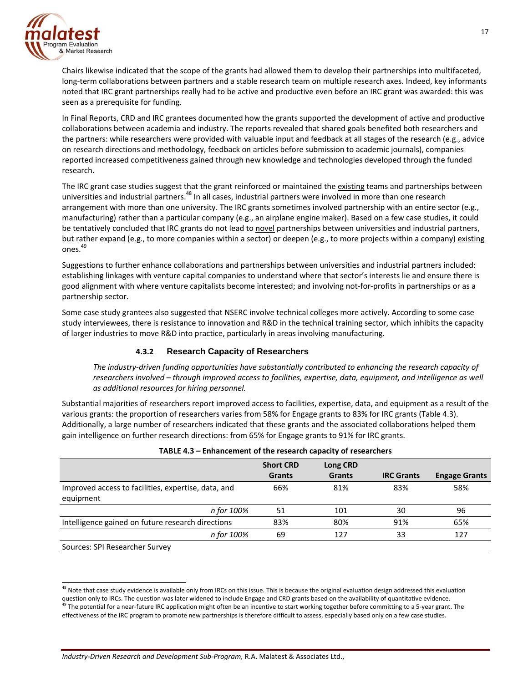

Chairs likewise indicated that the scope of the grants had allowed them to develop their partnerships into multifaceted, long-term collaborations between partners and a stable research team on multiple research axes. Indeed, key informants noted that IRC grant partnerships really had to be active and productive even before an IRC grant was awarded: this was seen as a prerequisite for funding.

In Final Reports, CRD and IRC grantees documented how the grants supported the development of active and productive collaborations between academia and industry. The reports revealed that shared goals benefited both researchers and the partners: while researchers were provided with valuable input and feedback at all stages of the research (e.g., advice on research directions and methodology, feedback on articles before submission to academic journals), companies reported increased competitiveness gained through new knowledge and technologies developed through the funded research.

The IRC grant case studies suggest that the grant reinforced or maintained the existing teams and partnerships between universities and industrial partners.<sup>48</sup> In all cases, industrial partners were involved in more than one research arrangement with more than one university. The IRC grants sometimes involved partnership with an entire sector (e.g., manufacturing) rather than a particular company (e.g., an airplane engine maker). Based on a few case studies, it could be tentatively concluded that IRC grants do not lead to novel partnerships between universities and industrial partners, but rather expand (e.g., to more companies within a sector) or deepen (e.g., to more projects within a company) existing ones.49

Suggestions to further enhance collaborations and partnerships between universities and industrial partners included: establishing linkages with venture capital companies to understand where that sector's interests lie and ensure there is good alignment with where venture capitalists become interested; and involving not-for-profits in partnerships or as a partnership sector.

Some case study grantees also suggested that NSERC involve technical colleges more actively. According to some case study interviewees, there is resistance to innovation and R&D in the technical training sector, which inhibits the capacity of larger industries to move R&D into practice, particularly in areas involving manufacturing.

## **4.3.2 Research Capacity of Researchers**

*The industry‐driven funding opportunities have substantially contributed to enhancing the research capacity of researchers involved – through improved access to facilities, expertise, data, equipment, and intelligence as well as additional resources for hiring personnel.*

Substantial majorities of researchers report improved access to facilities, expertise, data, and equipment as a result of the various grants: the proportion of researchers varies from 58% for Engage grants to 83% for IRC grants (Table 4.3). Additionally, a large number of researchers indicated that these grants and the associated collaborations helped them gain intelligence on further research directions: from 65% for Engage grants to 91% for IRC grants.

|                                                                  | <b>Short CRD</b><br><b>Grants</b> | <b>Long CRD</b><br><b>Grants</b> | <b>IRC Grants</b> | <b>Engage Grants</b> |
|------------------------------------------------------------------|-----------------------------------|----------------------------------|-------------------|----------------------|
| Improved access to facilities, expertise, data, and<br>equipment | 66%                               | 81%                              | 83%               | 58%                  |
| n for 100%                                                       | 51                                | 101                              | 30                | 96                   |
| Intelligence gained on future research directions                | 83%                               | 80%                              | 91%               | 65%                  |
| n for 100%                                                       | 69                                | 127                              | 33                | 127                  |
| Sources: SPI Researcher Survey                                   |                                   |                                  |                   |                      |

|  | TABLE 4.3 - Enhancement of the research capacity of researchers |  |  |  |
|--|-----------------------------------------------------------------|--|--|--|
|--|-----------------------------------------------------------------|--|--|--|

<u> 1989 - Johann Barn, mars ann an t-Amhain an t-Amhain ann an t-Amhain an t-Amhain an t-Amhain an t-Amhain ann a</u>

<sup>&</sup>lt;sup>48</sup> Note that case study evidence is available only from IRCs on this issue. This is because the original evaluation design addressed this evaluation question only to IRCs. The question was later widened to include Engage and CRD grants based on the availability of quantitative evidence.<br><sup>49</sup> The potential for a near-future IRC application might often be an incentive to effectiveness of the IRC program to promote new partnerships is therefore difficult to assess, especially based only on a few case studies.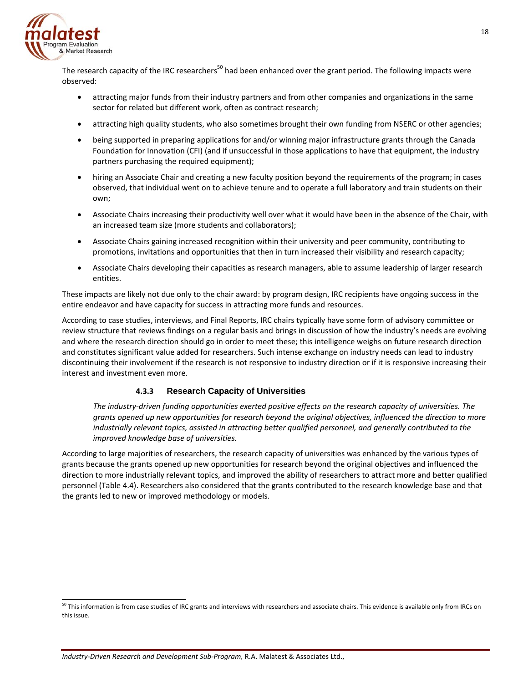

The research capacity of the IRC researchers<sup>50</sup> had been enhanced over the grant period. The following impacts were observed:

- attracting major funds from their industry partners and from other companies and organizations in the same sector for related but different work, often as contract research;
- attracting high quality students, who also sometimes brought their own funding from NSERC or other agencies;
- being supported in preparing applications for and/or winning major infrastructure grants through the Canada Foundation for Innovation (CFI) (and if unsuccessful in those applications to have that equipment, the industry partners purchasing the required equipment);
- hiring an Associate Chair and creating a new faculty position beyond the requirements of the program; in cases observed, that individual went on to achieve tenure and to operate a full laboratory and train students on their own;
- Associate Chairs increasing their productivity well over what it would have been in the absence of the Chair, with an increased team size (more students and collaborators);
- Associate Chairs gaining increased recognition within their university and peer community, contributing to promotions, invitations and opportunities that then in turn increased their visibility and research capacity;
- Associate Chairs developing their capacities as research managers, able to assume leadership of larger research entities.

These impacts are likely not due only to the chair award: by program design, IRC recipients have ongoing success in the entire endeavor and have capacity for success in attracting more funds and resources.

According to case studies, interviews, and Final Reports, IRC chairs typically have some form of advisory committee or review structure that reviews findings on a regular basis and brings in discussion of how the industry's needs are evolving and where the research direction should go in order to meet these; this intelligence weighs on future research direction and constitutes significant value added for researchers. Such intense exchange on industry needs can lead to industry discontinuing their involvement if the research is not responsive to industry direction or if it is responsive increasing their interest and investment even more.

## **4.3.3 Research Capacity of Universities**

*The industry‐driven funding opportunities exerted positive effects on the research capacity of universities. The grants opened up new opportunities for research beyond the original objectives, influenced the direction to more industrially relevant topics, assisted in attracting better qualified personnel, and generally contributed to the improved knowledge base of universities.* 

According to large majorities of researchers, the research capacity of universities was enhanced by the various types of grants because the grants opened up new opportunities for research beyond the original objectives and influenced the direction to more industrially relevant topics, and improved the ability of researchers to attract more and better qualified personnel (Table 4.4). Researchers also considered that the grants contributed to the research knowledge base and that the grants led to new or improved methodology or models.

<sup>&</sup>lt;sup>50</sup> This information is from case studies of IRC grants and interviews with researchers and associate chairs. This evidence is available only from IRCs on this issue.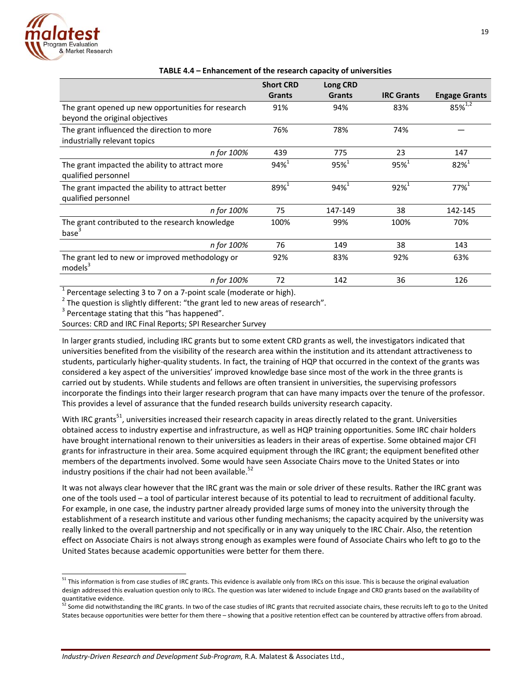

|                                                                                      | <b>Short CRD</b> | Long CRD      |                     |                      |
|--------------------------------------------------------------------------------------|------------------|---------------|---------------------|----------------------|
|                                                                                      | <b>Grants</b>    | <b>Grants</b> | <b>IRC Grants</b>   | <b>Engage Grants</b> |
| The grant opened up new opportunities for research<br>beyond the original objectives | 91%              | 94%           | 83%                 | $85\%^{1,2}$         |
| The grant influenced the direction to more<br>industrially relevant topics           | 76%              | 78%           | 74%                 |                      |
| n for 100%                                                                           | 439              | 775           | 23                  | 147                  |
| The grant impacted the ability to attract more<br>qualified personnel                | $94%^{1}$        | $95%^{1}$     | 95%                 | $82\%^{1}$           |
| The grant impacted the ability to attract better<br>qualified personnel              | $89%^{1}$        | $94%^{1}$     | $92\%$ <sup>1</sup> | $77\%$ <sup>1</sup>  |
| n for 100%                                                                           | 75               | 147-149       | 38                  | 142-145              |
| The grant contributed to the research knowledge<br>base <sup>3</sup>                 | 100%             | 99%           | 100%                | 70%                  |
| n for 100%                                                                           | 76               | 149           | 38                  | 143                  |
| The grant led to new or improved methodology or<br>models <sup>3</sup>               | 92%              | 83%           | 92%                 | 63%                  |
| n for 100%                                                                           | 72               | 142           | 36                  | 126                  |

### **TABLE 4.4 – Enhancement of the research capacity of universities**

<sup>1</sup> Percentage selecting 3 to 7 on a 7-point scale (moderate or high).<br>
<sup>2</sup> The question is slightly different: "the grant led to new areas of research".<br>
<sup>3</sup> Percentage stating that this "has happened".

<u> 1989 - Johann Stoff, Amerikaansk politiker († 1958)</u>

Sources: CRD and IRC Final Reports; SPI Researcher Survey

In larger grants studied, including IRC grants but to some extent CRD grants as well, the investigators indicated that universities benefited from the visibility of the research area within the institution and its attendant attractiveness to students, particularly higher‐quality students. In fact, the training of HQP that occurred in the context of the grants was considered a key aspect of the universities' improved knowledge base since most of the work in the three grants is carried out by students. While students and fellows are often transient in universities, the supervising professors incorporate the findings into their larger research program that can have many impacts over the tenure of the professor. This provides a level of assurance that the funded research builds university research capacity.

With IRC grants<sup>51</sup>, universities increased their research capacity in areas directly related to the grant. Universities obtained access to industry expertise and infrastructure, as well as HQP training opportunities. Some IRC chair holders have brought international renown to their universities as leaders in their areas of expertise. Some obtained major CFI grants for infrastructure in their area. Some acquired equipment through the IRC grant; the equipment benefited other members of the departments involved. Some would have seen Associate Chairs move to the United States or into industry positions if the chair had not been available. $52$ 

It was not always clear however that the IRC grant was the main or sole driver of these results. Rather the IRC grant was one of the tools used – a tool of particular interest because of its potential to lead to recruitment of additional faculty. For example, in one case, the industry partner already provided large sums of money into the university through the establishment of a research institute and various other funding mechanisms; the capacity acquired by the university was really linked to the overall partnership and not specifically or in any way uniquely to the IRC Chair. Also, the retention effect on Associate Chairs is not always strong enough as examples were found of Associate Chairs who left to go to the United States because academic opportunities were better for them there.

 $51$  This information is from case studies of IRC grants. This evidence is available only from IRCs on this issue. This is because the original evaluation design addressed this evaluation question only to IRCs. The question was later widened to include Engage and CRD grants based on the availability of

quantitative evidence.<br><sup>52</sup> Some did notwithstanding the IRC grants. In two of the case studies of IRC grants that recruited associate chairs, these recruits left to go to the United States because opportunities were better for them there – showing that a positive retention effect can be countered by attractive offers from abroad.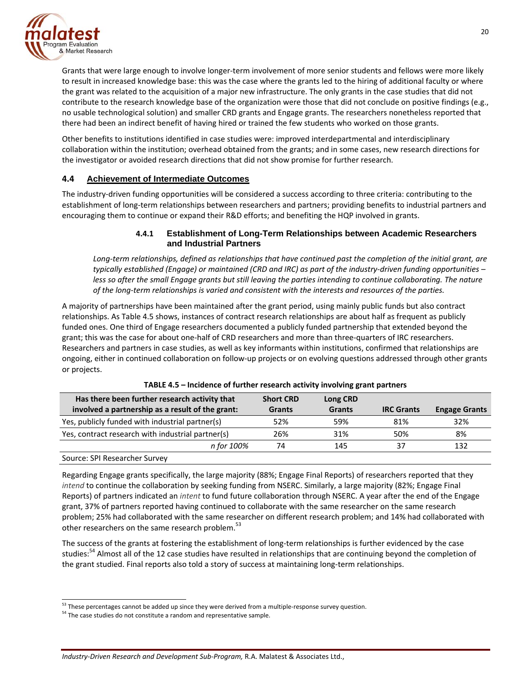

Grants that were large enough to involve longer‐term involvement of more senior students and fellows were more likely to result in increased knowledge base: this was the case where the grants led to the hiring of additional faculty or where the grant was related to the acquisition of a major new infrastructure. The only grants in the case studies that did not contribute to the research knowledge base of the organization were those that did not conclude on positive findings (e.g., no usable technological solution) and smaller CRD grants and Engage grants. The researchers nonetheless reported that there had been an indirect benefit of having hired or trained the few students who worked on those grants.

Other benefits to institutions identified in case studies were: improved interdepartmental and interdisciplinary collaboration within the institution; overhead obtained from the grants; and in some cases, new research directions for the investigator or avoided research directions that did not show promise for further research.

## **4.4 Achievement of Intermediate Outcomes**

The industry‐driven funding opportunities will be considered a success according to three criteria: contributing to the establishment of long‐term relationships between researchers and partners; providing benefits to industrial partners and encouraging them to continue or expand their R&D efforts; and benefiting the HQP involved in grants.

## **4.4.1 Establishment of Long-Term Relationships between Academic Researchers and Industrial Partners**

Long-term relationships, defined as relationships that have continued past the completion of the initial grant, are typically established (Engage) or maintained (CRD and IRC) as part of the industry-driven funding opportunities less so after the small Engage grants but still leaving the parties intending to continue collaborating. The nature of the long-term relationships is varied and consistent with the interests and resources of the parties.

A majority of partnerships have been maintained after the grant period, using mainly public funds but also contract relationships. As Table 4.5 shows, instances of contract research relationships are about half as frequent as publicly funded ones. One third of Engage researchers documented a publicly funded partnership that extended beyond the grant; this was the case for about one‐half of CRD researchers and more than three‐quarters of IRC researchers. Researchers and partners in case studies, as well as key informants within institutions, confirmed that relationships are ongoing, either in continued collaboration on follow‐up projects or on evolving questions addressed through other grants or projects.

| Has there been further research activity that<br>involved a partnership as a result of the grant: | <b>Short CRD</b><br><b>Grants</b> | Long CRD<br><b>Grants</b> | <b>IRC Grants</b> | <b>Engage Grants</b> |
|---------------------------------------------------------------------------------------------------|-----------------------------------|---------------------------|-------------------|----------------------|
| Yes, publicly funded with industrial partner(s)                                                   | 52%                               | 59%                       | 81%               | 32%                  |
| Yes, contract research with industrial partner(s)                                                 | 26%                               | 31%                       | 50%               | 8%                   |
| n for 100%                                                                                        | 74                                | 145                       |                   | 132                  |
| Source: SPI Researcher Survey                                                                     |                                   |                           |                   |                      |

### **TABLE 4.5 – Incidence of further research activity involving grant partners**

Regarding Engage grants specifically, the large majority (88%; Engage Final Reports) of researchers reported that they *intend* to continue the collaboration by seeking funding from NSERC. Similarly, a large majority (82%; Engage Final Reports) of partners indicated an *intent* to fund future collaboration through NSERC. A year after the end of the Engage grant, 37% of partners reported having continued to collaborate with the same researcher on the same research problem; 25% had collaborated with the same researcher on different research problem; and 14% had collaborated with other researchers on the same research problem.<sup>53</sup>

The success of the grants at fostering the establishment of long-term relationships is further evidenced by the case studies:<sup>54</sup> Almost all of the 12 case studies have resulted in relationships that are continuing beyond the completion of the grant studied. Final reports also told a story of success at maintaining long-term relationships.

*Industry‐Driven Research and Development Sub‐Program,* R.A. Malatest & Associates Ltd.,

<sup>&</sup>lt;sup>53</sup> These percentages cannot be added up since they were derived from a multiple-response survey question.

<sup>&</sup>lt;sup>54</sup> The case studies do not constitute a random and representative sample.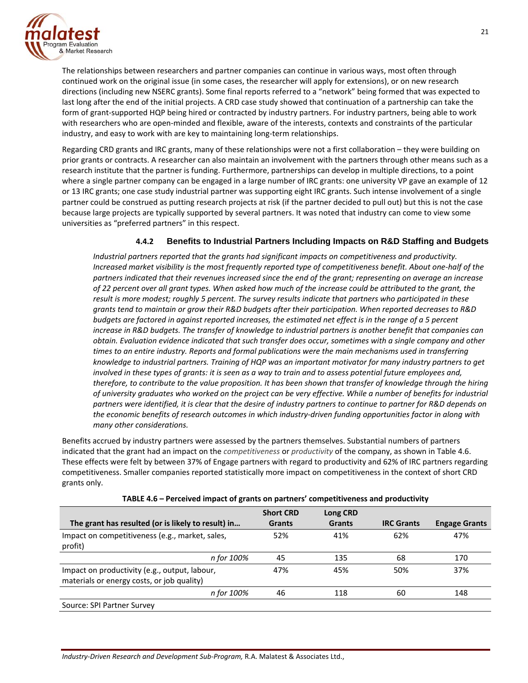

The relationships between researchers and partner companies can continue in various ways, most often through continued work on the original issue (in some cases, the researcher will apply for extensions), or on new research directions (including new NSERC grants). Some final reports referred to a "network" being formed that was expected to last long after the end of the initial projects. A CRD case study showed that continuation of a partnership can take the form of grant‐supported HQP being hired or contracted by industry partners. For industry partners, being able to work with researchers who are open‐minded and flexible, aware of the interests, contexts and constraints of the particular industry, and easy to work with are key to maintaining long‐term relationships.

Regarding CRD grants and IRC grants, many of these relationships were not a first collaboration – they were building on prior grants or contracts. A researcher can also maintain an involvement with the partners through other means such as a research institute that the partner is funding. Furthermore, partnerships can develop in multiple directions, to a point where a single partner company can be engaged in a large number of IRC grants: one university VP gave an example of 12 or 13 IRC grants; one case study industrial partner was supporting eight IRC grants. Such intense involvement of a single partner could be construed as putting research projects at risk (if the partner decided to pull out) but this is not the case because large projects are typically supported by several partners. It was noted that industry can come to view some universities as "preferred partners" in this respect.

# **4.4.2 Benefits to Industrial Partners Including Impacts on R&D Staffing and Budgets**

*Industrial partners reported that the grants had significant impacts on competitiveness and productivity.* Increased market visibility is the most frequently reported type of competitiveness benefit. About one-half of the partners indicated that their revenues increased since the end of the grant; representing on average an increase of 22 percent over all grant types. When asked how much of the increase could be attributed to the grant, the result is more modest; roughly 5 percent. The survey results indicate that partners who participated in these grants tend to maintain or grow their R&D budgets after their participation. When reported decreases to R&D budgets are factored in against reported increases, the estimated net effect is in the range of a 5 percent increase in R&D budgets. The transfer of knowledge to industrial partners is another benefit that companies can *obtain. Evaluation evidence indicated that such transfer does occur, sometimes with a single company and other times to an entire industry. Reports and formal publications were the main mechanisms used in transferring* knowledge to industrial partners. Training of HQP was an important motivator for many industry partners to get involved in these types of grants: it is seen as a way to train and to assess potential future employees and, therefore, to contribute to the value proposition. It has been shown that transfer of knowledge through the hiring of university graduates who worked on the project can be very effective. While a number of benefits for industrial partners were identified, it is clear that the desire of industry partners to continue to partner for R&D depends on the economic benefits of research outcomes in which industry-driven funding opportunities factor in along with *many other considerations.*

Benefits accrued by industry partners were assessed by the partners themselves. Substantial numbers of partners indicated that the grant had an impact on the *competitiveness* or *productivity* of the company, as shown in Table 4.6. These effects were felt by between 37% of Engage partners with regard to productivity and 62% of IRC partners regarding competitiveness. Smaller companies reported statistically more impact on competitiveness in the context of short CRD grants only.

| The grant has resulted (or is likely to result) in                                          | <b>Short CRD</b><br><b>Grants</b> | Long CRD<br><b>Grants</b> | <b>IRC Grants</b> | <b>Engage Grants</b> |
|---------------------------------------------------------------------------------------------|-----------------------------------|---------------------------|-------------------|----------------------|
| Impact on competitiveness (e.g., market, sales,<br>profit)                                  | 52%                               | 41%                       | 62%               | 47%                  |
| n for 100%                                                                                  | 45                                | 135                       | 68                | 170                  |
| Impact on productivity (e.g., output, labour,<br>materials or energy costs, or job quality) | 47%                               | 45%                       | 50%               | 37%                  |
| n for 100%                                                                                  | 46                                | 118                       | 60                | 148                  |
| Source: SPI Partner Survey                                                                  |                                   |                           |                   |                      |

| TABLE 4.6 – Perceived impact of grants on partners' competitiveness and productivity |  |  |
|--------------------------------------------------------------------------------------|--|--|
|--------------------------------------------------------------------------------------|--|--|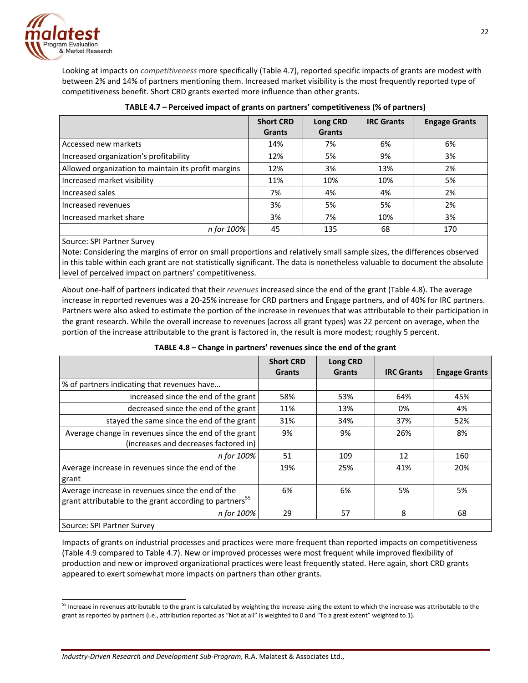

Looking at impacts on *competitiveness* more specifically (Table 4.7), reported specific impacts of grants are modest with between 2% and 14% of partners mentioning them. Increased market visibility is the most frequently reported type of competitiveness benefit. Short CRD grants exerted more influence than other grants.

|                                                     | <b>Short CRD</b><br><b>Grants</b> | Long CRD<br><b>Grants</b> | <b>IRC Grants</b> | <b>Engage Grants</b> |
|-----------------------------------------------------|-----------------------------------|---------------------------|-------------------|----------------------|
| Accessed new markets                                | 14%                               | 7%                        | 6%                | 6%                   |
| Increased organization's profitability              | 12%                               | 5%                        | 9%                | 3%                   |
| Allowed organization to maintain its profit margins | 12%                               | 3%                        | 13%               | 2%                   |
| Increased market visibility                         | 11%                               | 10%                       | 10%               | 5%                   |
| Increased sales                                     | 7%                                | 4%                        | 4%                | 2%                   |
| Increased revenues                                  | 3%                                | 5%                        | 5%                | 2%                   |
| Increased market share                              | 3%                                | 7%                        | 10%               | 3%                   |
| n for 100%                                          | 45                                | 135                       | 68                | 170                  |

## **TABLE 4.7 – Perceived impact of grants on partners' competitiveness (% of partners)**

## Source: SPI Partner Survey

Note: Considering the margins of error on small proportions and relatively small sample sizes, the differences observed in this table within each grant are not statistically significant. The data is nonetheless valuable to document the absolute level of perceived impact on partners' competitiveness.

About one‐half of partners indicated that their *revenues* increased since the end of the grant (Table 4.8). The average increase in reported revenues was a 20‐25% increase for CRD partners and Engage partners, and of 40% for IRC partners. Partners were also asked to estimate the portion of the increase in revenues that was attributable to their participation in the grant research. While the overall increase to revenues (across all grant types) was 22 percent on average, when the portion of the increase attributable to the grant is factored in, the result is more modest; roughly 5 percent.

| TABLE 4.8 – Change in partners' revenues since the end of the grant |  |  |  |
|---------------------------------------------------------------------|--|--|--|
|                                                                     |  |  |  |

|                                                                                                                          | <b>Short CRD</b><br>Grants | Long CRD<br><b>Grants</b> | <b>IRC Grants</b> | <b>Engage Grants</b> |
|--------------------------------------------------------------------------------------------------------------------------|----------------------------|---------------------------|-------------------|----------------------|
| % of partners indicating that revenues have                                                                              |                            |                           |                   |                      |
| increased since the end of the grant                                                                                     | 58%                        | 53%                       | 64%               | 45%                  |
| decreased since the end of the grant                                                                                     | 11%                        | 13%                       | 0%                | 4%                   |
| stayed the same since the end of the grant                                                                               | 31%                        | 34%                       | 37%               | 52%                  |
| Average change in revenues since the end of the grant<br>(increases and decreases factored in)                           | 9%                         | 9%                        | 26%               | 8%                   |
| n for 100%                                                                                                               | 51                         | 109                       | 12                | 160                  |
| Average increase in revenues since the end of the<br>grant                                                               | 19%                        | 25%                       | 41%               | 20%                  |
| Average increase in revenues since the end of the<br>grant attributable to the grant according to partners <sup>55</sup> | 6%                         | 6%                        | 5%                | 5%                   |
| n for 100%                                                                                                               | 29                         | 57                        | 8                 | 68                   |
| Source: SPI Partner Survey                                                                                               |                            |                           |                   |                      |

Impacts of grants on industrial processes and practices were more frequent than reported impacts on competitiveness (Table 4.9 compared to Table 4.7). New or improved processes were most frequent while improved flexibility of production and new or improved organizational practices were least frequently stated. Here again, short CRD grants appeared to exert somewhat more impacts on partners than other grants.

<sup>&</sup>lt;sup>55</sup> Increase in revenues attributable to the grant is calculated by weighting the increase using the extent to which the increase was attributable to the grant as reported by partners (i.e., attribution reported as "Not at all" is weighted to 0 and "To a great extent" weighted to 1).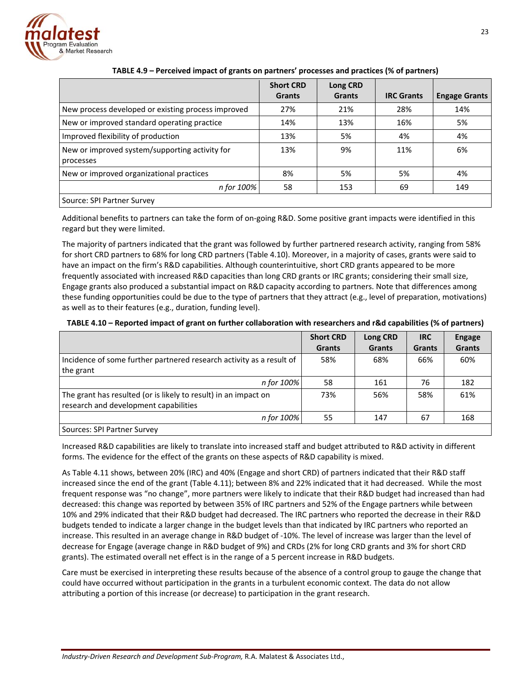

|                                                             | <b>Short CRD</b><br><b>Grants</b> | Long CRD<br><b>Grants</b> | <b>IRC Grants</b> | <b>Engage Grants</b> |
|-------------------------------------------------------------|-----------------------------------|---------------------------|-------------------|----------------------|
| New process developed or existing process improved          | 27%                               | 21%                       | 28%               | 14%                  |
| New or improved standard operating practice                 | 14%                               | 13%                       | 16%               | 5%                   |
| Improved flexibility of production                          | 13%                               | 5%                        | 4%                | 4%                   |
| New or improved system/supporting activity for<br>processes | 13%                               | 9%                        | 11%               | 6%                   |
| New or improved organizational practices                    | 8%                                | 5%                        | 5%                | 4%                   |
| n for 100%                                                  | 58                                | 153                       | 69                | 149                  |
| Source: SPI Partner Survey                                  |                                   |                           |                   |                      |

## **TABLE 4.9 – Perceived impact of grants on partners' processes and practices (% of partners)**

Additional benefits to partners can take the form of on‐going R&D. Some positive grant impacts were identified in this regard but they were limited.

The majority of partners indicated that the grant was followed by further partnered research activity, ranging from 58% for short CRD partners to 68% for long CRD partners (Table 4.10). Moreover, in a majority of cases, grants were said to have an impact on the firm's R&D capabilities. Although counterintuitive, short CRD grants appeared to be more frequently associated with increased R&D capacities than long CRD grants or IRC grants; considering their small size, Engage grants also produced a substantial impact on R&D capacity according to partners. Note that differences among these funding opportunities could be due to the type of partners that they attract (e.g., level of preparation, motivations) as well as to their features (e.g., duration, funding level).

### TABLE 4.10 - Reported impact of grant on further collaboration with researchers and r&d capabilities (% of partners)

|                                                                                                          | <b>Short CRD</b><br><b>Grants</b> | Long CRD<br><b>Grants</b> | <b>IRC</b><br><b>Grants</b> | <b>Engage</b><br><b>Grants</b> |
|----------------------------------------------------------------------------------------------------------|-----------------------------------|---------------------------|-----------------------------|--------------------------------|
| Incidence of some further partnered research activity as a result of                                     | 58%                               | 68%                       | 66%                         | 60%                            |
| the grant                                                                                                |                                   |                           |                             |                                |
| n for 100%                                                                                               | 58                                | 161                       | 76                          | 182                            |
| The grant has resulted (or is likely to result) in an impact on<br>research and development capabilities | 73%                               | 56%                       | 58%                         | 61%                            |
| n for 100%                                                                                               | 55                                | 147                       | 67                          | 168                            |
| Sources: SPI Partner Survey                                                                              |                                   |                           |                             |                                |

Increased R&D capabilities are likely to translate into increased staff and budget attributed to R&D activity in different forms. The evidence for the effect of the grants on these aspects of R&D capability is mixed.

As Table 4.11 shows, between 20% (IRC) and 40% (Engage and short CRD) of partners indicated that their R&D staff increased since the end of the grant (Table 4.11); between 8% and 22% indicated that it had decreased. While the most frequent response was "no change", more partners were likely to indicate that their R&D budget had increased than had decreased: this change was reported by between 35% of IRC partners and 52% of the Engage partners while between 10% and 29% indicated that their R&D budget had decreased. The IRC partners who reported the decrease in their R&D budgets tended to indicate a larger change in the budget levels than that indicated by IRC partners who reported an increase. This resulted in an average change in R&D budget of ‐10%. The level of increase was larger than the level of decrease for Engage (average change in R&D budget of 9%) and CRDs (2% for long CRD grants and 3% for short CRD grants). The estimated overall net effect is in the range of a 5 percent increase in R&D budgets.

Care must be exercised in interpreting these results because of the absence of a control group to gauge the change that could have occurred without participation in the grants in a turbulent economic context. The data do not allow attributing a portion of this increase (or decrease) to participation in the grant research.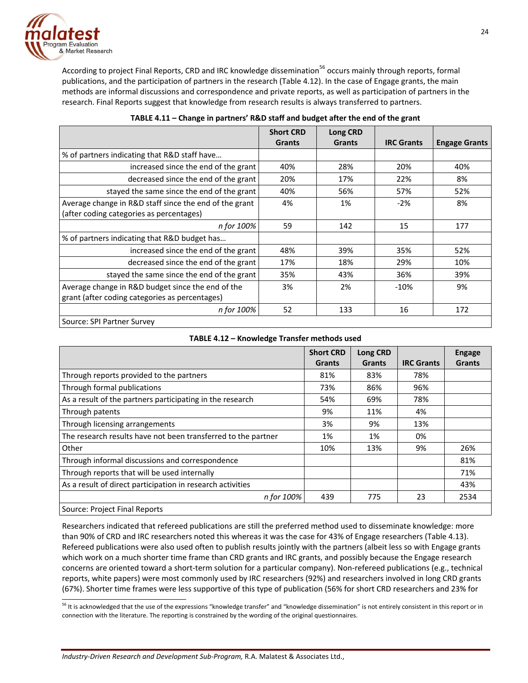

According to project Final Reports, CRD and IRC knowledge dissemination<sup>56</sup> occurs mainly through reports, formal publications, and the participation of partners in the research (Table 4.12). In the case of Engage grants, the main methods are informal discussions and correspondence and private reports, as well as participation of partners in the research. Final Reports suggest that knowledge from research results is always transferred to partners.

|                                                                                                     | <b>Short CRD</b> | Long CRD      |                   |                      |
|-----------------------------------------------------------------------------------------------------|------------------|---------------|-------------------|----------------------|
|                                                                                                     | Grants           | <b>Grants</b> | <b>IRC Grants</b> | <b>Engage Grants</b> |
| % of partners indicating that R&D staff have                                                        |                  |               |                   |                      |
| increased since the end of the grant                                                                | 40%              | 28%           | 20%               | 40%                  |
| decreased since the end of the grant                                                                | 20%              | 17%           | 22%               | 8%                   |
| stayed the same since the end of the grant                                                          | 40%              | 56%           | 57%               | 52%                  |
| Average change in R&D staff since the end of the grant<br>(after coding categories as percentages)  | 4%               | 1%            | $-2%$             | 8%                   |
| n for 100%                                                                                          | 59               | 142           | 15                | 177                  |
| % of partners indicating that R&D budget has                                                        |                  |               |                   |                      |
| increased since the end of the grant                                                                | 48%              | 39%           | 35%               | 52%                  |
| decreased since the end of the grant                                                                | 17%              | 18%           | 29%               | 10%                  |
| stayed the same since the end of the grant                                                          | 35%              | 43%           | 36%               | 39%                  |
| Average change in R&D budget since the end of the<br>grant (after coding categories as percentages) | 3%               | 2%            | $-10%$            | 9%                   |
| n for 100%                                                                                          | 52               | 133           | 16                | 172                  |
| Source: SPI Partner Survey                                                                          |                  |               |                   |                      |

| TABLE 4.11 - Change in partners' R&D staff and budget after the end of the grant |  |
|----------------------------------------------------------------------------------|--|
|----------------------------------------------------------------------------------|--|

| TABLE 4.12 - Knowledge Transfer methods used |  |
|----------------------------------------------|--|
|----------------------------------------------|--|

|                                                               | <b>Short CRD</b> | Long CRD |                   | <b>Engage</b> |
|---------------------------------------------------------------|------------------|----------|-------------------|---------------|
|                                                               | Grants           | Grants   | <b>IRC Grants</b> | <b>Grants</b> |
| Through reports provided to the partners                      | 81%              | 83%      | 78%               |               |
| Through formal publications                                   | 73%              | 86%      | 96%               |               |
| As a result of the partners participating in the research     | 54%              | 69%      | 78%               |               |
| Through patents                                               | 9%               | 11%      | 4%                |               |
| Through licensing arrangements                                | 3%               | 9%       | 13%               |               |
| The research results have not been transferred to the partner | 1%               | 1%       | 0%                |               |
| Other                                                         | 10%              | 13%      | 9%                | 26%           |
| Through informal discussions and correspondence               |                  |          |                   | 81%           |
| Through reports that will be used internally                  |                  |          |                   | 71%           |
| As a result of direct participation in research activities    |                  |          |                   | 43%           |
| n for 100%                                                    | 439              | 775      | 23                | 2534          |
| Source: Project Final Reports                                 |                  |          |                   |               |

Researchers indicated that refereed publications are still the preferred method used to disseminate knowledge: more than 90% of CRD and IRC researchers noted this whereas it was the case for 43% of Engage researchers (Table 4.13). Refereed publications were also used often to publish results jointly with the partners (albeit less so with Engage grants which work on a much shorter time frame than CRD grants and IRC grants, and possibly because the Engage research concerns are oriented toward a short-term solution for a particular company). Non-refereed publications (e.g., technical reports, white papers) were most commonly used by IRC researchers (92%) and researchers involved in long CRD grants (67%). Shorter time frames were less supportive of this type of publication (56% for short CRD researchers and 23% for

<sup>&</sup>lt;sup>56</sup> It is acknowledged that the use of the expressions "knowledge transfer" and "knowledge dissemination" is not entirely consistent in this report or in connection with the literature. The reporting is constrained by the wording of the original questionnaires.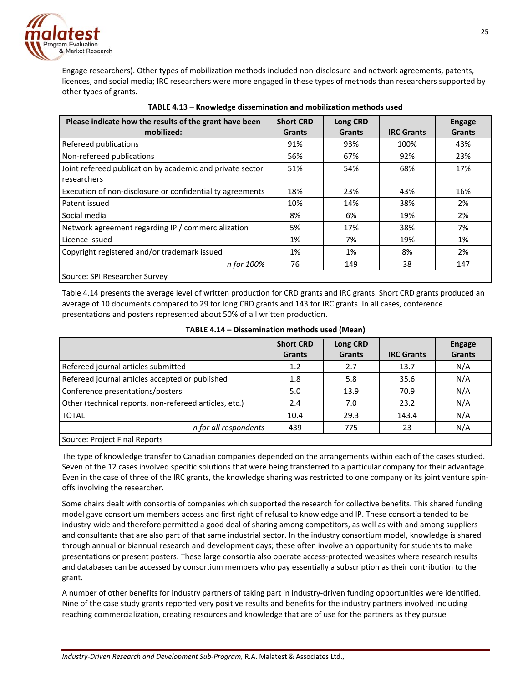

Engage researchers). Other types of mobilization methods included non‐disclosure and network agreements, patents, licences, and social media; IRC researchers were more engaged in these types of methods than researchers supported by other types of grants.

| Please indicate how the results of the grant have been<br>mobilized:     | <b>Short CRD</b><br><b>Grants</b> | <b>Long CRD</b><br><b>Grants</b> | <b>IRC Grants</b> | <b>Engage</b><br><b>Grants</b> |
|--------------------------------------------------------------------------|-----------------------------------|----------------------------------|-------------------|--------------------------------|
| Refereed publications                                                    | 91%                               | 93%                              | 100%              | 43%                            |
| Non-refereed publications                                                | 56%                               | 67%                              | 92%               | 23%                            |
| Joint refereed publication by academic and private sector<br>researchers | 51%                               | 54%                              | 68%               | 17%                            |
| Execution of non-disclosure or confidentiality agreements                | 18%                               | 23%                              | 43%               | 16%                            |
| Patent issued                                                            | 10%                               | 14%                              | 38%               | 2%                             |
| Social media                                                             | 8%                                | 6%                               | 19%               | 2%                             |
| Network agreement regarding IP / commercialization                       | 5%                                | 17%                              | 38%               | 7%                             |
| Licence issued                                                           | 1%                                | 7%                               | 19%               | 1%                             |
| Copyright registered and/or trademark issued                             | 1%                                | 1%                               | 8%                | 2%                             |
| n for 100%                                                               | 76                                | 149                              | 38                | 147                            |
| Source: SPI Researcher Survey                                            |                                   |                                  |                   |                                |

### **TABLE 4.13 – Knowledge dissemination and mobilization methods used**

Table 4.14 presents the average level of written production for CRD grants and IRC grants. Short CRD grants produced an average of 10 documents compared to 29 for long CRD grants and 143 for IRC grants. In all cases, conference presentations and posters represented about 50% of all written production.

|                                                        | <b>Short CRD</b><br><b>Grants</b> | <b>Long CRD</b><br><b>Grants</b> | <b>IRC Grants</b> | <b>Engage</b><br><b>Grants</b> |
|--------------------------------------------------------|-----------------------------------|----------------------------------|-------------------|--------------------------------|
| Refereed journal articles submitted                    | 1.2                               | 2.7                              | 13.7              | N/A                            |
| Refereed journal articles accepted or published        | 1.8                               | 5.8                              | 35.6              | N/A                            |
| Conference presentations/posters                       | 5.0                               | 13.9                             | 70.9              | N/A                            |
| Other (technical reports, non-refereed articles, etc.) | 2.4                               | 7.0                              | 23.2              | N/A                            |
| <b>TOTAL</b>                                           | 10.4                              | 29.3                             | 143.4             | N/A                            |
| n for all respondents                                  | 439                               | 775                              | 23                | N/A                            |
| Source: Project Final Reports                          |                                   |                                  |                   |                                |

### **TABLE 4.14 – Dissemination methods used (Mean)**

The type of knowledge transfer to Canadian companies depended on the arrangements within each of the cases studied. Seven of the 12 cases involved specific solutions that were being transferred to a particular company for their advantage. Even in the case of three of the IRC grants, the knowledge sharing was restricted to one company or its joint venture spin‐ offs involving the researcher.

Some chairs dealt with consortia of companies which supported the research for collective benefits. This shared funding model gave consortium members access and first right of refusal to knowledge and IP. These consortia tended to be industry‐wide and therefore permitted a good deal of sharing among competitors, as well as with and among suppliers and consultants that are also part of that same industrial sector. In the industry consortium model, knowledge is shared through annual or biannual research and development days; these often involve an opportunity for students to make presentations or present posters. These large consortia also operate access-protected websites where research results and databases can be accessed by consortium members who pay essentially a subscription as their contribution to the grant.

A number of other benefits for industry partners of taking part in industry‐driven funding opportunities were identified. Nine of the case study grants reported very positive results and benefits for the industry partners involved including reaching commercialization, creating resources and knowledge that are of use for the partners as they pursue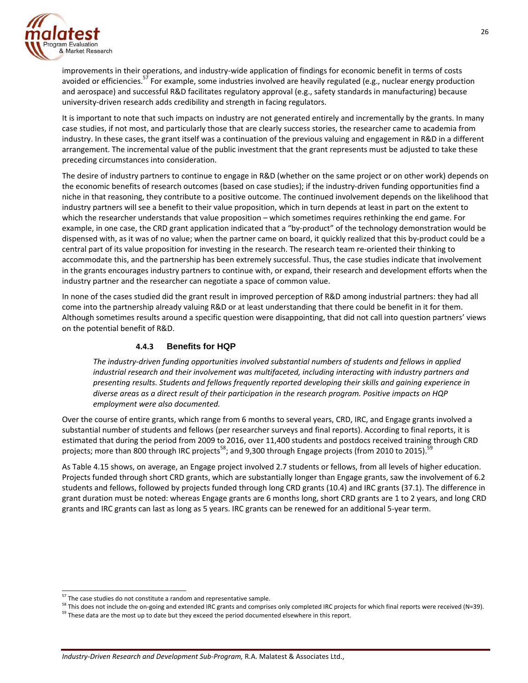

improvements in their operations, and industry‐wide application of findings for economic benefit in terms of costs avoided or efficiencies.<sup>57</sup> For example, some industries involved are heavily regulated (e.g., nuclear energy production and aerospace) and successful R&D facilitates regulatory approval (e.g., safety standards in manufacturing) because university‐driven research adds credibility and strength in facing regulators.

It is important to note that such impacts on industry are not generated entirely and incrementally by the grants. In many case studies, if not most, and particularly those that are clearly success stories, the researcher came to academia from industry. In these cases, the grant itself was a continuation of the previous valuing and engagement in R&D in a different arrangement. The incremental value of the public investment that the grant represents must be adjusted to take these preceding circumstances into consideration.

The desire of industry partners to continue to engage in R&D (whether on the same project or on other work) depends on the economic benefits of research outcomes (based on case studies); if the industry‐driven funding opportunities find a niche in that reasoning, they contribute to a positive outcome. The continued involvement depends on the likelihood that industry partners will see a benefit to their value proposition, which in turn depends at least in part on the extent to which the researcher understands that value proposition – which sometimes requires rethinking the end game. For example, in one case, the CRD grant application indicated that a "by-product" of the technology demonstration would be dispensed with, as it was of no value; when the partner came on board, it quickly realized that this by‐product could be a central part of its value proposition for investing in the research. The research team re‐oriented their thinking to accommodate this, and the partnership has been extremely successful. Thus, the case studies indicate that involvement in the grants encourages industry partners to continue with, or expand, their research and development efforts when the industry partner and the researcher can negotiate a space of common value.

In none of the cases studied did the grant result in improved perception of R&D among industrial partners: they had all come into the partnership already valuing R&D or at least understanding that there could be benefit in it for them. Although sometimes results around a specific question were disappointing, that did not call into question partners' views on the potential benefit of R&D.

## **4.4.3 Benefits for HQP**

*The industry‐driven funding opportunities involved substantial numbers of students and fellows in applied industrial research and their involvement was multifaceted, including interacting with industry partners and presenting results. Students and fellows frequently reported developing their skills and gaining experience in diverse areas as a direct result of their participation in the research program. Positive impacts on HQP employment were also documented.*

Over the course of entire grants, which range from 6 months to several years, CRD, IRC, and Engage grants involved a substantial number of students and fellows (per researcher surveys and final reports). According to final reports, it is estimated that during the period from 2009 to 2016, over 11,400 students and postdocs received training through CRD projects; more than 800 through IRC projects<sup>58</sup>; and 9,300 through Engage projects (from 2010 to 2015).<sup>5</sup>

As Table 4.15 shows, on average, an Engage project involved 2.7 students or fellows, from all levels of higher education. Projects funded through short CRD grants, which are substantially longer than Engage grants, saw the involvement of 6.2 students and fellows, followed by projects funded through long CRD grants (10.4) and IRC grants (37.1). The difference in grant duration must be noted: whereas Engage grants are 6 months long, short CRD grants are 1 to 2 years, and long CRD grants and IRC grants can last as long as 5 years. IRC grants can be renewed for an additional 5‐year term.

<sup>&</sup>lt;sup>57</sup> The case studies do not constitute a random and representative sample.

 $58$  This does not include the on-going and extended IRC grants and comprises only completed IRC projects for which final reports were received (N=39).

<sup>&</sup>lt;sup>59</sup> These data are the most up to date but they exceed the period documented elsewhere in this report.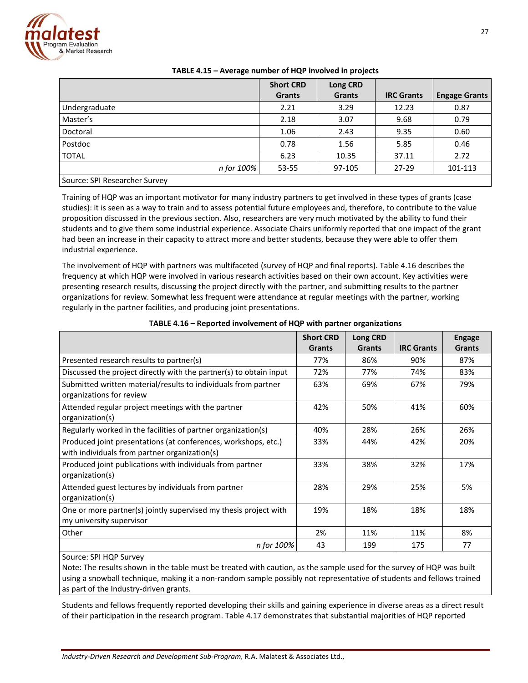

|                               | <b>Short CRD</b><br>Grants | Long CRD<br><b>Grants</b> | <b>IRC Grants</b> | <b>Engage Grants</b> |
|-------------------------------|----------------------------|---------------------------|-------------------|----------------------|
| Undergraduate                 | 2.21                       | 3.29                      | 12.23             | 0.87                 |
| Master's                      | 2.18                       | 3.07                      | 9.68              | 0.79                 |
| Doctoral                      | 1.06                       | 2.43                      | 9.35              | 0.60                 |
| Postdoc                       | 0.78                       | 1.56                      | 5.85              | 0.46                 |
| <b>TOTAL</b>                  | 6.23                       | 10.35                     | 37.11             | 2.72                 |
| n for 100%                    | 53-55                      | 97-105                    | $27-29$           | 101-113              |
| Source: SPI Researcher Survey |                            |                           |                   |                      |

## **TABLE 4.15 – Average number of HQP involved in projects**

Training of HQP was an important motivator for many industry partners to get involved in these types of grants (case studies): it is seen as a way to train and to assess potential future employees and, therefore, to contribute to the value proposition discussed in the previous section. Also, researchers are very much motivated by the ability to fund their students and to give them some industrial experience. Associate Chairs uniformly reported that one impact of the grant had been an increase in their capacity to attract more and better students, because they were able to offer them industrial experience.

The involvement of HQP with partners was multifaceted (survey of HQP and final reports). Table 4.16 describes the frequency at which HQP were involved in various research activities based on their own account. Key activities were presenting research results, discussing the project directly with the partner, and submitting results to the partner organizations for review. Somewhat less frequent were attendance at regular meetings with the partner, working regularly in the partner facilities, and producing joint presentations.

|                                                                                                                 | <b>Short CRD</b><br><b>Grants</b> | Long CRD<br><b>Grants</b> | <b>IRC Grants</b> | <b>Engage</b><br><b>Grants</b> |
|-----------------------------------------------------------------------------------------------------------------|-----------------------------------|---------------------------|-------------------|--------------------------------|
| Presented research results to partner(s)                                                                        | 77%                               | 86%                       | 90%               | 87%                            |
| Discussed the project directly with the partner(s) to obtain input                                              | 72%                               | 77%                       | 74%               | 83%                            |
| Submitted written material/results to individuals from partner<br>organizations for review                      | 63%                               | 69%                       | 67%               | 79%                            |
| Attended regular project meetings with the partner<br>organization(s)                                           | 42%                               | 50%                       | 41%               | 60%                            |
| Regularly worked in the facilities of partner organization(s)                                                   | 40%                               | 28%                       | 26%               | 26%                            |
| Produced joint presentations (at conferences, workshops, etc.)<br>with individuals from partner organization(s) | 33%                               | 44%                       | 42%               | 20%                            |
| Produced joint publications with individuals from partner<br>organization(s)                                    | 33%                               | 38%                       | 32%               | 17%                            |
| Attended guest lectures by individuals from partner<br>organization(s)                                          | 28%                               | 29%                       | 25%               | 5%                             |
| One or more partner(s) jointly supervised my thesis project with                                                | 19%                               | 18%                       | 18%               | 18%                            |
| my university supervisor                                                                                        |                                   |                           |                   |                                |
| Other                                                                                                           | 2%                                | 11%                       | 11%               | 8%                             |
| n for 100%                                                                                                      | 43                                | 199                       | 175               | 77                             |

**TABLE 4.16 – Reported involvement of HQP with partner organizations**

Source: SPI HQP Survey

Note: The results shown in the table must be treated with caution, as the sample used for the survey of HQP was built using a snowball technique, making it a non-random sample possibly not representative of students and fellows trained as part of the Industry‐driven grants.

Students and fellows frequently reported developing their skills and gaining experience in diverse areas as a direct result of their participation in the research program. Table 4.17 demonstrates that substantial majorities of HQP reported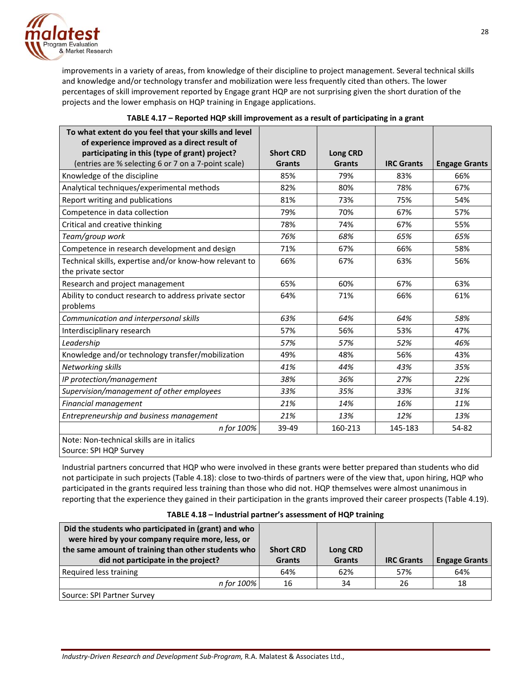

improvements in a variety of areas, from knowledge of their discipline to project management. Several technical skills and knowledge and/or technology transfer and mobilization were less frequently cited than others. The lower percentages of skill improvement reported by Engage grant HQP are not surprising given the short duration of the projects and the lower emphasis on HQP training in Engage applications.

| To what extent do you feel that your skills and level   |                  |                 |                   |                      |
|---------------------------------------------------------|------------------|-----------------|-------------------|----------------------|
| of experience improved as a direct result of            |                  |                 |                   |                      |
| participating in this (type of grant) project?          | <b>Short CRD</b> | <b>Long CRD</b> |                   |                      |
| (entries are % selecting 6 or 7 on a 7-point scale)     | <b>Grants</b>    | <b>Grants</b>   | <b>IRC Grants</b> | <b>Engage Grants</b> |
| Knowledge of the discipline                             | 85%              | 79%             | 83%               | 66%                  |
| Analytical techniques/experimental methods              | 82%              | 80%             | 78%               | 67%                  |
| Report writing and publications                         | 81%              | 73%             | 75%               | 54%                  |
| Competence in data collection                           | 79%              | 70%             | 67%               | 57%                  |
| Critical and creative thinking                          | 78%              | 74%             | 67%               | 55%                  |
| Team/group work                                         | 76%              | 68%             | 65%               | 65%                  |
| Competence in research development and design           | 71%              | 67%             | 66%               | 58%                  |
| Technical skills, expertise and/or know-how relevant to | 66%              | 67%             | 63%               | 56%                  |
| the private sector                                      |                  |                 |                   |                      |
| Research and project management                         | 65%              | 60%             | 67%               | 63%                  |
| Ability to conduct research to address private sector   | 64%              | 71%             | 66%               | 61%                  |
| problems                                                |                  |                 |                   |                      |
| Communication and interpersonal skills                  | 63%              | 64%             | 64%               | 58%                  |
| Interdisciplinary research                              | 57%              | 56%             | 53%               | 47%                  |
| Leadership                                              | 57%              | 57%             | 52%               | 46%                  |
| Knowledge and/or technology transfer/mobilization       | 49%              | 48%             | 56%               | 43%                  |
| Networking skills                                       | 41%              | 44%             | 43%               | 35%                  |
| IP protection/management                                | 38%              | 36%             | 27%               | 22%                  |
| Supervision/management of other employees               | 33%              | 35%             | 33%               | 31%                  |
| <b>Financial management</b>                             | 21%              | 14%             | 16%               | 11%                  |
| Entrepreneurship and business management                | 21%              | 13%             | 12%               | 13%                  |
| n for 100%                                              | 39-49            | 160-213         | 145-183           | 54-82                |
| Note: Non-technical skills are in italics               |                  |                 |                   |                      |
| Source: SPI HQP Survey                                  |                  |                 |                   |                      |

| TABLE 4.17 - Reported HQP skill improvement as a result of participating in a grant |  |
|-------------------------------------------------------------------------------------|--|
|-------------------------------------------------------------------------------------|--|

Industrial partners concurred that HQP who were involved in these grants were better prepared than students who did not participate in such projects (Table 4.18): close to two-thirds of partners were of the view that, upon hiring, HQP who participated in the grants required less training than those who did not. HQP themselves were almost unanimous in reporting that the experience they gained in their participation in the grants improved their career prospects (Table 4.19).

| TABLE 4.18 - Industrial partner's assessment of HQP training |  |  |
|--------------------------------------------------------------|--|--|
|                                                              |  |  |

| Did the students who participated in (grant) and who<br>were hired by your company require more, less, or<br>the same amount of training than other students who<br>did not participate in the project? | <b>Short CRD</b><br><b>Grants</b> | Long CRD<br><b>Grants</b> | <b>IRC Grants</b> | <b>Engage Grants</b> |
|---------------------------------------------------------------------------------------------------------------------------------------------------------------------------------------------------------|-----------------------------------|---------------------------|-------------------|----------------------|
| Required less training                                                                                                                                                                                  | 64%                               | 62%                       | 57%               | 64%                  |
| n for 100%                                                                                                                                                                                              | 16                                | 34                        | 26                | 18                   |
| Source: SPI Partner Survey                                                                                                                                                                              |                                   |                           |                   |                      |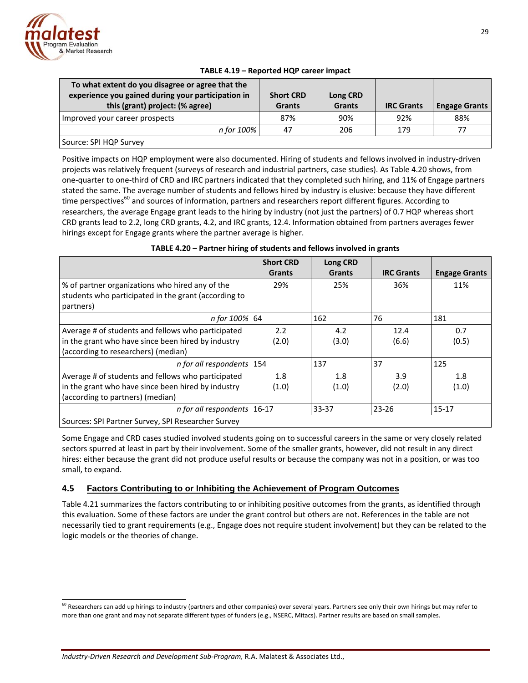

| To what extent do you disagree or agree that the<br>experience you gained during your participation in<br>this (grant) project: (% agree) | <b>Short CRD</b><br><b>Grants</b> | Long CRD<br><b>Grants</b> | <b>IRC Grants</b> | <b>Engage Grants</b> |
|-------------------------------------------------------------------------------------------------------------------------------------------|-----------------------------------|---------------------------|-------------------|----------------------|
| Improved your career prospects                                                                                                            | 87%                               | 90%                       | 92%               | 88%                  |
| n for 100%                                                                                                                                | 47                                | 206                       | 179               | 77                   |
| Source: SPI HQP Survey                                                                                                                    |                                   |                           |                   |                      |

## **TABLE 4.19 – Reported HQP career impact**

Positive impacts on HQP employment were also documented. Hiring of students and fellows involved in industry‐driven projects was relatively frequent (surveys of research and industrial partners, case studies). As Table 4.20 shows, from one‐quarter to one‐third of CRD and IRC partners indicated that they completed such hiring, and 11% of Engage partners stated the same. The average number of students and fellows hired by industry is elusive: because they have different time perspectives<sup>60</sup> and sources of information, partners and researchers report different figures. According to researchers, the average Engage grant leads to the hiring by industry (not just the partners) of 0.7 HQP whereas short CRD grants lead to 2.2, long CRD grants, 4.2, and IRC grants, 12.4. Information obtained from partners averages fewer hirings except for Engage grants where the partner average is higher.

## **TABLE 4.20 – Partner hiring of students and fellows involved in grants**

|                                                      | <b>Short CRD</b> | Long CRD      |                   |                      |
|------------------------------------------------------|------------------|---------------|-------------------|----------------------|
|                                                      | <b>Grants</b>    | <b>Grants</b> | <b>IRC Grants</b> | <b>Engage Grants</b> |
| % of partner organizations who hired any of the      | 29%              | 25%           | 36%               | 11%                  |
| students who participated in the grant (according to |                  |               |                   |                      |
| partners)                                            |                  |               |                   |                      |
| n for 100% 64                                        |                  | 162           | 76                | 181                  |
| Average # of students and fellows who participated   | 2.2              | 4.2           | 12.4              | 0.7                  |
| in the grant who have since been hired by industry   | (2.0)            | (3.0)         | (6.6)             | (0.5)                |
| (according to researchers) (median)                  |                  |               |                   |                      |
| n for all respondents   154                          |                  | 137           | 37                | 125                  |
| Average # of students and fellows who participated   | 1.8              | 1.8           | 3.9               | 1.8                  |
| in the grant who have since been hired by industry   | (1.0)            | (1.0)         | (2.0)             | (1.0)                |
| (according to partners) (median)                     |                  |               |                   |                      |
| n for all respondents 16-17                          |                  | 33-37         | $23 - 26$         | $15 - 17$            |
| Sources: SPI Partner Survey, SPI Researcher Survey   |                  |               |                   |                      |

Some Engage and CRD cases studied involved students going on to successful careers in the same or very closely related sectors spurred at least in part by their involvement. Some of the smaller grants, however, did not result in any direct hires: either because the grant did not produce useful results or because the company was not in a position, or was too small, to expand.

## **4.5 Factors Contributing to or Inhibiting the Achievement of Program Outcomes**

Table 4.21 summarizes the factors contributing to or inhibiting positive outcomes from the grants, as identified through this evaluation. Some of these factors are under the grant control but others are not. References in the table are not necessarily tied to grant requirements (e.g., Engage does not require student involvement) but they can be related to the logic models or the theories of change.

 $^{60}$  Researchers can add up hirings to industry (partners and other companies) over several years. Partners see only their own hirings but may refer to more than one grant and may not separate different types of funders (e.g., NSERC, Mitacs). Partner results are based on small samples.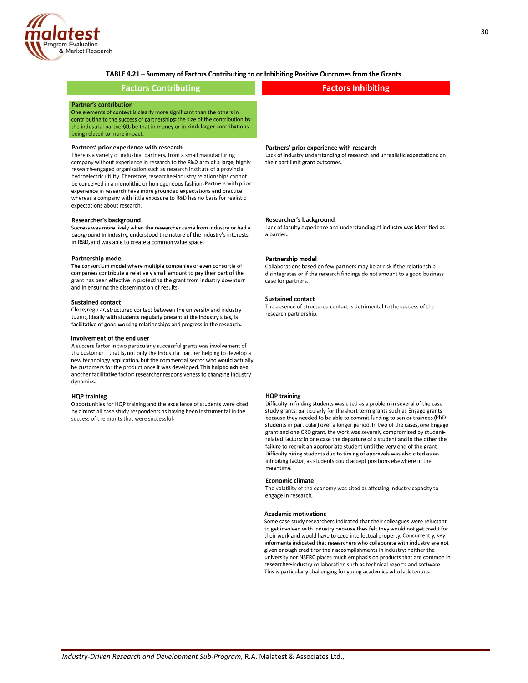

TABLE 4.21 - Summary of Factors Contributing to or Inhibiting Positive Outcomes from the Grants

#### **Factors Contributing**

#### **Factors Inhibiting**

#### **Partner's contribution**

One elements of context is clearly more significant than the others in contributing to the success of partnerships: the size of the contribution by the industrial partner(s), be that in money or in-kind: larger contributions being related to more impact.

#### Partners' prior experience with research

There is a variety of industrial partners, from a small manufacturing company without experience in research to the R&D arm of a large, highly research-engaged organization such as research institute of a provincial hydroelectric utility. Therefore, researcher-industry relationships cannot be conceived in a monolithic or homogeneous fashion. Partners with prior experience in research have more grounded expectations and practice whereas a company with little exposure to R&D has no basis for realistic expectations about research.

#### Researcher's background

Success was more likely when the researcher came from industry or had a background in industry, understood the nature of the industry's interests in R&D, and was able to create a common value space.

#### Partnership model

The consortium model where multiple companies or even consortia of companies contribute a relatively small amount to pay their part of the grant has been effective in protecting the grant from industry downturn and in ensuring the dissemination of results.

#### **Sustained contact**

Close, regular, structured contact between the university and industry teams, ideally with students regularly present at the industry sites, is facilitative of good working relationships and progress in the research.

#### Involvement of the end user

A success factor in two particularly successful grants was involvement of the customer-that is, not only the industrial partner helping to develop a new technology application, but the commercial sector who would actually be customers for the product once it was developed. This helped achieve another facilitative factor: researcher responsiveness to changing industry dynamics.

#### **HQP training**

Opportunities for HQP training and the excellence of students were cited by almost all case study respondents as having been instrumental in the success of the grants that were successful.

#### Partners' prior experience with research

Lack of industry understanding of research and unrealistic expectations on their part limit grant outcomes.

#### Researcher's background

Lack of faculty experience and understanding of industry was identified as a barrier.

#### Partnership model

Collaborations based on few partners may be at risk if the relationship disintegrates or if the research findings do not amount to a good business case for partners.

#### **Sustained contact**

The absence of structured contact is detrimental to the success of the research partnership.

#### **HQP training**

Difficulty in finding students was cited as a problem in several of the case study grants, particularly for the short-term grants such as Engage grants because they needed to be able to commit funding to senior trainees (PhD students in particular) over a longer period. In two of the cases, one Engage grant and one CRD grant, the work was severely compromised by studentrelated factors: in one case the departure of a student and in the other the failure to recruit an appropriate student until the very end of the grant. Difficulty hiring students due to timing of approvals was also cited as an inhibiting factor, as students could accept positions elsewhere in the meantime.

#### **Economic climate**

The volatility of the economy was cited as affecting industry capacity to engage in research.

#### **Academic motivations**

Some case study researchers indicated that their colleagues were reluctant to get involved with industry because they felt they would not get credit for their work and would have to cede intellectual property. Concurrently, key informants indicated that researchers who collaborate with industry are not given enough credit for their accomplishments in industry: neither the university nor NSERC places much emphasis on products that are common in researcher-industry collaboration such as technical reports and software. This is particularly challenging for young academics who lack tenure.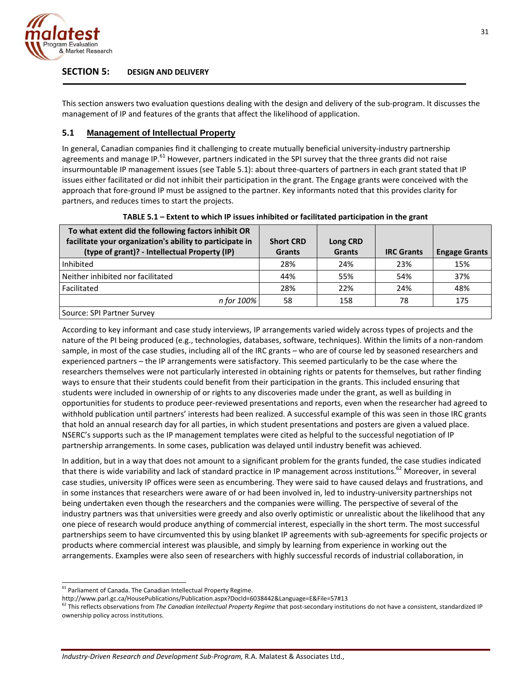

# **SECTION 5: DESIGN AND DELIVERY**

This section answers two evaluation questions dealing with the design and delivery of the sub‐program. It discusses the management of IP and features of the grants that affect the likelihood of application.

# **5.1 Management of Intellectual Property**

In general, Canadian companies find it challenging to create mutually beneficial university-industry partnership agreements and manage IP.<sup>61</sup> However, partners indicated in the SPI survey that the three grants did not raise insurmountable IP management issues (see Table 5.1): about three-quarters of partners in each grant stated that IP issues either facilitated or did not inhibit their participation in the grant. The Engage grants were conceived with the approach that fore‐ground IP must be assigned to the partner. Key informants noted that this provides clarity for partners, and reduces times to start the projects.

| To what extent did the following factors inhibit OR<br>facilitate your organization's ability to participate in<br>(type of grant)? - Intellectual Property (IP) | <b>Short CRD</b><br><b>Grants</b> | <b>Long CRD</b><br><b>Grants</b> | <b>IRC Grants</b> | <b>Engage Grants</b> |
|------------------------------------------------------------------------------------------------------------------------------------------------------------------|-----------------------------------|----------------------------------|-------------------|----------------------|
| Inhibited                                                                                                                                                        | 28%                               | 24%                              | 23%               | 15%                  |
| Neither inhibited nor facilitated                                                                                                                                | 44%                               | 55%                              | 54%               | 37%                  |
| Facilitated                                                                                                                                                      | 28%                               | 22%                              | 24%               | 48%                  |
| n for 100%                                                                                                                                                       | 58                                | 158                              | 78                | 175                  |
| Source: SPI Partner Survey                                                                                                                                       |                                   |                                  |                   |                      |

**TABLE 5.1 – Extent to which IP issues inhibited or facilitated participation in the grant**

According to key informant and case study interviews, IP arrangements varied widely across types of projects and the nature of the PI being produced (e.g., technologies, databases, software, techniques). Within the limits of a non-random sample, in most of the case studies, including all of the IRC grants – who are of course led by seasoned researchers and experienced partners – the IP arrangements were satisfactory. This seemed particularly to be the case where the researchers themselves were not particularly interested in obtaining rights or patents for themselves, but rather finding ways to ensure that their students could benefit from their participation in the grants. This included ensuring that students were included in ownership of or rights to any discoveries made under the grant, as well as building in opportunities for students to produce peer‐reviewed presentations and reports, even when the researcher had agreed to withhold publication until partners' interests had been realized. A successful example of this was seen in those IRC grants that hold an annual research day for all parties, in which student presentations and posters are given a valued place. NSERC's supports such as the IP management templates were cited as helpful to the successful negotiation of IP partnership arrangements. In some cases, publication was delayed until industry benefit was achieved.

In addition, but in a way that does not amount to a significant problem for the grants funded, the case studies indicated that there is wide variability and lack of standard practice in IP management across institutions.<sup>62</sup> Moreover, in several case studies, university IP offices were seen as encumbering. They were said to have caused delays and frustrations, and in some instances that researchers were aware of or had been involved in, led to industry-university partnerships not being undertaken even though the researchers and the companies were willing. The perspective of several of the industry partners was that universities were greedy and also overly optimistic or unrealistic about the likelihood that any one piece of research would produce anything of commercial interest, especially in the short term. The most successful partnerships seem to have circumvented this by using blanket IP agreements with sub‐agreements for specific projects or products where commercial interest was plausible, and simply by learning from experience in working out the arrangements. Examples were also seen of researchers with highly successful records of industrial collaboration, in

<u> 1989 - Johann Barn, mars ann an t-Amhain an t-Amhain ann an t-Amhain an t-Amhain an t-Amhain an t-Amhain ann a</u>

31

*Industry‐Driven Research and Development Sub‐Program,* R.A. Malatest & Associates Ltd.,

 $61$  Parliament of Canada. The Canadian Intellectual Property Regime.

http://www.parl.gc.ca/HousePublications/Publication.aspx?DocId=6038442&Language=E&File=57#13<br><sup>62</sup> This reflects observations from *The Canadian Intellectual Property Regime* that post-secondary institutions do not have a c ownership policy across institutions.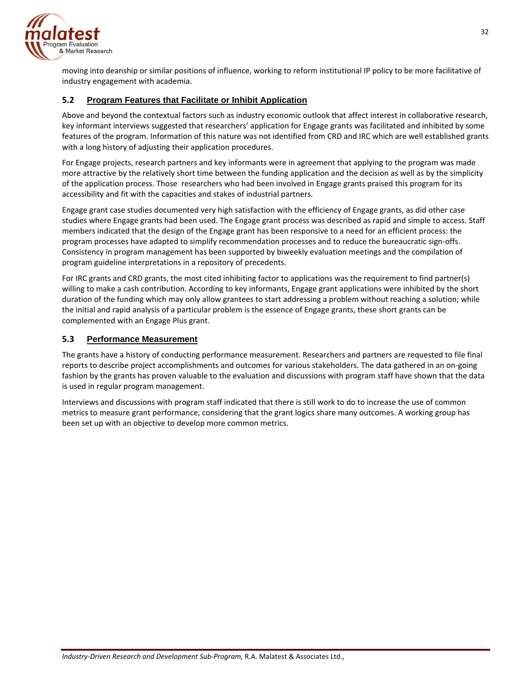

moving into deanship or similar positions of influence, working to reform institutional IP policy to be more facilitative of industry engagement with academia.

## **5.2 Program Features that Facilitate or Inhibit Application**

Above and beyond the contextual factors such as industry economic outlook that affect interest in collaborative research, key informant interviews suggested that researchers' application for Engage grants was facilitated and inhibited by some features of the program. Information of this nature was not identified from CRD and IRC which are well established grants with a long history of adjusting their application procedures.

For Engage projects, research partners and key informants were in agreement that applying to the program was made more attractive by the relatively short time between the funding application and the decision as well as by the simplicity of the application process. Those researchers who had been involved in Engage grants praised this program for its accessibility and fit with the capacities and stakes of industrial partners.

Engage grant case studies documented very high satisfaction with the efficiency of Engage grants, as did other case studies where Engage grants had been used. The Engage grant process was described as rapid and simple to access. Staff members indicated that the design of the Engage grant has been responsive to a need for an efficient process: the program processes have adapted to simplify recommendation processes and to reduce the bureaucratic sign‐offs. Consistency in program management has been supported by biweekly evaluation meetings and the compilation of program guideline interpretations in a repository of precedents.

For IRC grants and CRD grants, the most cited inhibiting factor to applications was the requirement to find partner(s) willing to make a cash contribution. According to key informants, Engage grant applications were inhibited by the short duration of the funding which may only allow grantees to start addressing a problem without reaching a solution; while the initial and rapid analysis of a particular problem is the essence of Engage grants, these short grants can be complemented with an Engage Plus grant.

## **5.3 Performance Measurement**

The grants have a history of conducting performance measurement. Researchers and partners are requested to file final reports to describe project accomplishments and outcomes for various stakeholders. The data gathered in an on‐going fashion by the grants has proven valuable to the evaluation and discussions with program staff have shown that the data is used in regular program management.

Interviews and discussions with program staff indicated that there is still work to do to increase the use of common metrics to measure grant performance, considering that the grant logics share many outcomes. A working group has been set up with an objective to develop more common metrics.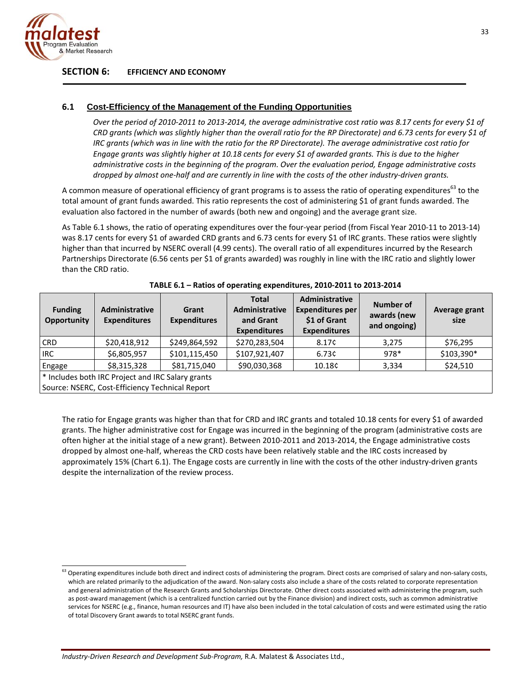

## **SECTION 6: EFFICIENCY AND ECONOMY**

## **6.1 Cost-Efficiency of the Management of the Funding Opportunities**

Over the period of 2010-2011 to 2013-2014, the average administrative cost ratio was 8.17 cents for every \$1 of CRD grants (which was slightly higher than the overall ratio for the RP Directorate) and 6.73 cents for every \$1 of IRC grants (which was in line with the ratio for the RP Directorate). The average administrative cost ratio for Engage grants was slightly higher at 10.18 cents for every \$1 of awarded grants. This is due to the higher *administrative costs in the beginning of the program. Over the evaluation period, Engage administrative costs* dropped by almost one-half and are currently in line with the costs of the other industry-driven grants.

A common measure of operational efficiency of grant programs is to assess the ratio of operating expenditures<sup>63</sup> to the total amount of grant funds awarded. This ratio represents the cost of administering \$1 of grant funds awarded. The evaluation also factored in the number of awards (both new and ongoing) and the average grant size.

As Table 6.1 shows, the ratio of operating expenditures over the four‐year period (from Fiscal Year 2010‐11 to 2013‐14) was 8.17 cents for every \$1 of awarded CRD grants and 6.73 cents for every \$1 of IRC grants. These ratios were slightly higher than that incurred by NSERC overall (4.99 cents). The overall ratio of all expenditures incurred by the Research Partnerships Directorate (6.56 cents per \$1 of grants awarded) was roughly in line with the IRC ratio and slightly lower than the CRD ratio.

| <b>Funding</b><br>Opportunity | <b>Administrative</b><br><b>Expenditures</b>      | Grant<br><b>Expenditures</b> | <b>Total</b><br><b>Administrative</b><br>and Grant<br><b>Expenditures</b> | Administrative<br><b>Expenditures per</b><br>\$1 of Grant<br><b>Expenditures</b> | Number of<br>awards (new<br>and ongoing) | Average grant<br>size |
|-------------------------------|---------------------------------------------------|------------------------------|---------------------------------------------------------------------------|----------------------------------------------------------------------------------|------------------------------------------|-----------------------|
| <b>CRD</b>                    | \$20,418,912                                      | \$249,864,592                | \$270,283,504                                                             | 8.17c                                                                            | 3,275                                    | \$76,295              |
| <b>IRC</b>                    | \$6,805,957                                       | \$101,115,450                | \$107,921,407                                                             | 6.73c                                                                            | 978*                                     | \$103,390*            |
| Engage                        | \$8,315,328                                       | \$81,715,040                 | \$90,030,368                                                              | 10.18¢                                                                           | 3,334                                    | \$24,510              |
|                               | * Includes both IRC Project and IRC Salary grants |                              |                                                                           |                                                                                  |                                          |                       |
|                               | Source: NSERC, Cost-Efficiency Technical Report   |                              |                                                                           |                                                                                  |                                          |                       |

### **TABLE 6.1 – Ratios of operating expenditures, 2010‐2011 to 2013‐2014**

The ratio for Engage grants was higher than that for CRD and IRC grants and totaled 10.18 cents for every \$1 of awarded grants. The higher administrative cost for Engage was incurred in the beginning of the program (administrative costs are often higher at the initial stage of a new grant). Between 2010‐2011 and 2013‐2014, the Engage administrative costs dropped by almost one‐half, whereas the CRD costs have been relatively stable and the IRC costs increased by approximately 15% (Chart 6.1). The Engage costs are currently in line with the costs of the other industry‐driven grants despite the internalization of the review process.

 $^{63}$  Operating expenditures include both direct and indirect costs of administering the program. Direct costs are comprised of salary and non-salary costs, which are related primarily to the adjudication of the award. Non‐salary costs also include a share of the costs related to corporate representation and general administration of the Research Grants and Scholarships Directorate. Other direct costs associated with administering the program, such as post-award management (which is a centralized function carried out by the Finance division) and indirect costs, such as common administrative services for NSERC (e.g., finance, human resources and IT) have also been included in the total calculation of costs and were estimated using the ratio of total Discovery Grant awards to total NSERC grant funds.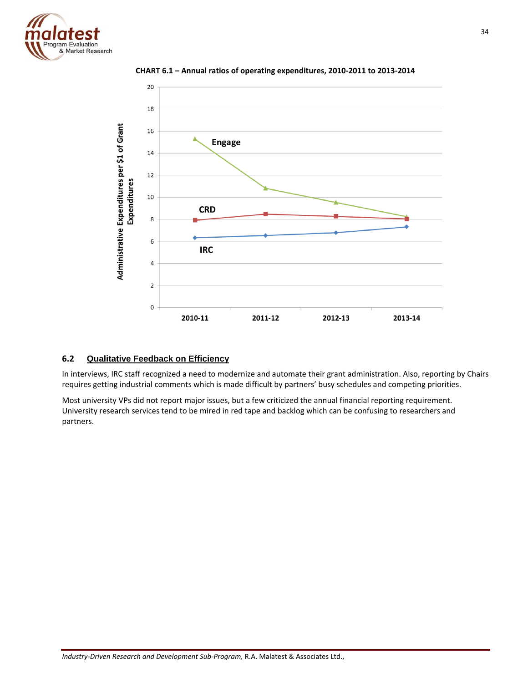



## **CHART 6.1 – Annual ratios of operating expenditures, 2010‐2011 to 2013‐2014**

## **6.2 Qualitative Feedback on Efficiency**

In interviews, IRC staff recognized a need to modernize and automate their grant administration. Also, reporting by Chairs requires getting industrial comments which is made difficult by partners' busy schedules and competing priorities.

Most university VPs did not report major issues, but a few criticized the annual financial reporting requirement. University research services tend to be mired in red tape and backlog which can be confusing to researchers and partners.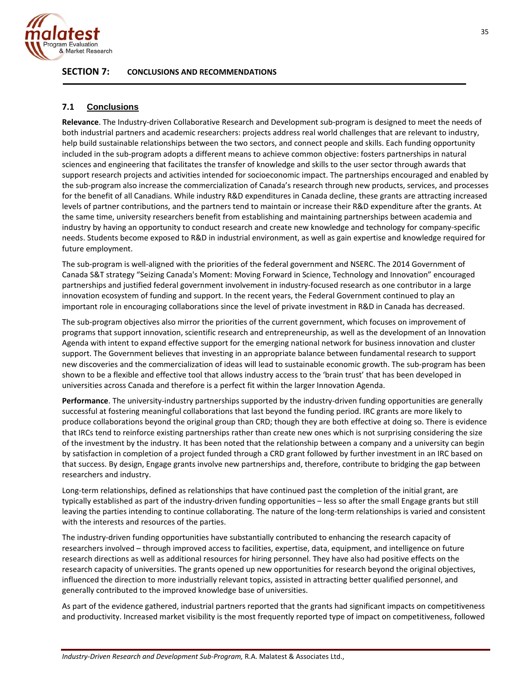

## **SECTION 7: CONCLUSIONS AND RECOMMENDATIONS**

# **7.1 Conclusions**

**Relevance**. The Industry‐driven Collaborative Research and Development sub‐program is designed to meet the needs of both industrial partners and academic researchers: projects address real world challenges that are relevant to industry, help build sustainable relationships between the two sectors, and connect people and skills. Each funding opportunity included in the sub‐program adopts a different means to achieve common objective: fosters partnerships in natural sciences and engineering that facilitates the transfer of knowledge and skills to the user sector through awards that support research projects and activities intended for socioeconomic impact. The partnerships encouraged and enabled by the sub‐program also increase the commercialization of Canada's research through new products, services, and processes for the benefit of all Canadians. While industry R&D expenditures in Canada decline, these grants are attracting increased levels of partner contributions, and the partners tend to maintain or increase their R&D expenditure after the grants. At the same time, university researchers benefit from establishing and maintaining partnerships between academia and industry by having an opportunity to conduct research and create new knowledge and technology for company‐specific needs. Students become exposed to R&D in industrial environment, as well as gain expertise and knowledge required for future employment.

The sub‐program is well‐aligned with the priorities of the federal government and NSERC. The 2014 Government of Canada S&T strategy "Seizing Canada's Moment: Moving Forward in Science, Technology and Innovation" encouraged partnerships and justified federal government involvement in industry‐focused research as one contributor in a large innovation ecosystem of funding and support. In the recent years, the Federal Government continued to play an important role in encouraging collaborations since the level of private investment in R&D in Canada has decreased.

The sub-program objectives also mirror the priorities of the current government, which focuses on improvement of programs that support innovation, scientific research and entrepreneurship, as well as the development of an Innovation Agenda with intent to expand effective support for the emerging national network for business innovation and cluster support. The Government believes that investing in an appropriate balance between fundamental research to support new discoveries and the commercialization of ideas will lead to sustainable economic growth. The sub‐program has been shown to be a flexible and effective tool that allows industry access to the 'brain trust' that has been developed in universities across Canada and therefore is a perfect fit within the larger Innovation Agenda.

**Performance**. The university-industry partnerships supported by the industry-driven funding opportunities are generally successful at fostering meaningful collaborations that last beyond the funding period. IRC grants are more likely to produce collaborations beyond the original group than CRD; though they are both effective at doing so. There is evidence that IRCs tend to reinforce existing partnerships rather than create new ones which is not surprising considering the size of the investment by the industry. It has been noted that the relationship between a company and a university can begin by satisfaction in completion of a project funded through a CRD grant followed by further investment in an IRC based on that success. By design, Engage grants involve new partnerships and, therefore, contribute to bridging the gap between researchers and industry.

Long-term relationships, defined as relationships that have continued past the completion of the initial grant, are typically established as part of the industry‐driven funding opportunities – less so after the small Engage grants but still leaving the parties intending to continue collaborating. The nature of the long-term relationships is varied and consistent with the interests and resources of the parties.

The industry‐driven funding opportunities have substantially contributed to enhancing the research capacity of researchers involved – through improved access to facilities, expertise, data, equipment, and intelligence on future research directions as well as additional resources for hiring personnel. They have also had positive effects on the research capacity of universities. The grants opened up new opportunities for research beyond the original objectives, influenced the direction to more industrially relevant topics, assisted in attracting better qualified personnel, and generally contributed to the improved knowledge base of universities.

As part of the evidence gathered, industrial partners reported that the grants had significant impacts on competitiveness and productivity. Increased market visibility is the most frequently reported type of impact on competitiveness, followed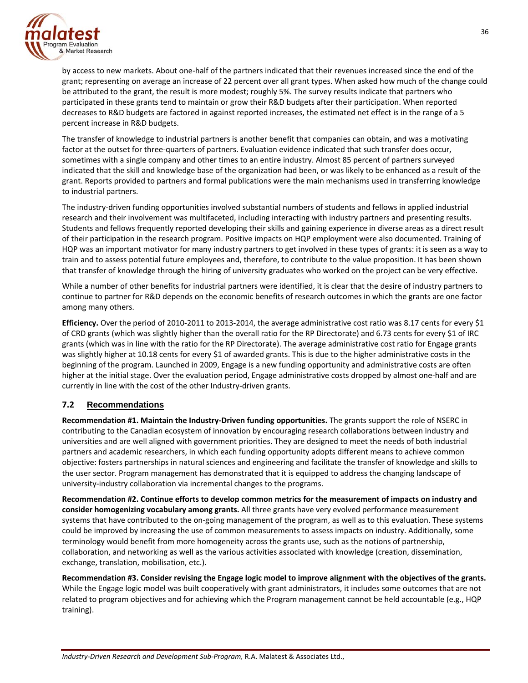

by access to new markets. About one‐half of the partners indicated that their revenues increased since the end of the grant; representing on average an increase of 22 percent over all grant types. When asked how much of the change could be attributed to the grant, the result is more modest; roughly 5%. The survey results indicate that partners who participated in these grants tend to maintain or grow their R&D budgets after their participation. When reported decreases to R&D budgets are factored in against reported increases, the estimated net effect is in the range of a 5 percent increase in R&D budgets.

The transfer of knowledge to industrial partners is another benefit that companies can obtain, and was a motivating factor at the outset for three‐quarters of partners. Evaluation evidence indicated that such transfer does occur, sometimes with a single company and other times to an entire industry. Almost 85 percent of partners surveyed indicated that the skill and knowledge base of the organization had been, or was likely to be enhanced as a result of the grant. Reports provided to partners and formal publications were the main mechanisms used in transferring knowledge to industrial partners.

The industry‐driven funding opportunities involved substantial numbers of students and fellows in applied industrial research and their involvement was multifaceted, including interacting with industry partners and presenting results. Students and fellows frequently reported developing their skills and gaining experience in diverse areas as a direct result of their participation in the research program. Positive impacts on HQP employment were also documented. Training of HQP was an important motivator for many industry partners to get involved in these types of grants: it is seen as a way to train and to assess potential future employees and, therefore, to contribute to the value proposition. It has been shown that transfer of knowledge through the hiring of university graduates who worked on the project can be very effective.

While a number of other benefits for industrial partners were identified, it is clear that the desire of industry partners to continue to partner for R&D depends on the economic benefits of research outcomes in which the grants are one factor among many others.

**Efficiency.** Over the period of 2010‐2011 to 2013‐2014, the average administrative cost ratio was 8.17 cents for every \$1 of CRD grants (which was slightly higher than the overall ratio for the RP Directorate) and 6.73 cents for every \$1 of IRC grants (which was in line with the ratio for the RP Directorate). The average administrative cost ratio for Engage grants was slightly higher at 10.18 cents for every \$1 of awarded grants. This is due to the higher administrative costs in the beginning of the program. Launched in 2009, Engage is a new funding opportunity and administrative costs are often higher at the initial stage. Over the evaluation period, Engage administrative costs dropped by almost one-half and are currently in line with the cost of the other Industry‐driven grants.

# **7.2 Recommendations**

**Recommendation #1. Maintain the Industry‐Driven funding opportunities.** The grants support the role of NSERC in contributing to the Canadian ecosystem of innovation by encouraging research collaborations between industry and universities and are well aligned with government priorities. They are designed to meet the needs of both industrial partners and academic researchers, in which each funding opportunity adopts different means to achieve common objective: fosters partnerships in natural sciences and engineering and facilitate the transfer of knowledge and skills to the user sector. Program management has demonstrated that it is equipped to address the changing landscape of university‐industry collaboration via incremental changes to the programs.

**Recommendation #2. Continue efforts to develop common metrics for the measurement of impacts on industry and consider homogenizing vocabulary among grants.** All three grants have very evolved performance measurement systems that have contributed to the on-going management of the program, as well as to this evaluation. These systems could be improved by increasing the use of common measurements to assess impacts on industry. Additionally, some terminology would benefit from more homogeneity across the grants use, such as the notions of partnership, collaboration, and networking as well as the various activities associated with knowledge (creation, dissemination, exchange, translation, mobilisation, etc.).

Recommendation #3. Consider revising the Engage logic model to improve alignment with the objectives of the grants. While the Engage logic model was built cooperatively with grant administrators, it includes some outcomes that are not related to program objectives and for achieving which the Program management cannot be held accountable (e.g., HQP training).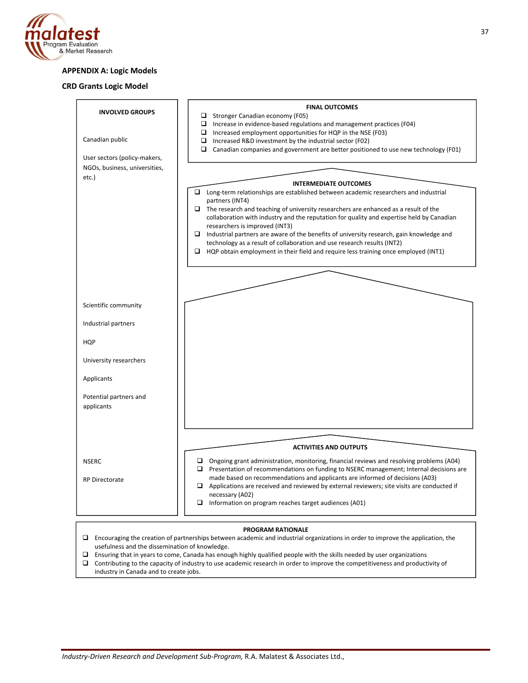

### **APPENDIX A: Logic Models**

#### **CRD Grants Logic Model**



#### **PROGRAM RATIONALE**

- $\Box$  Encouraging the creation of partnerships between academic and industrial organizations in order to improve the application, the usefulness and the dissemination of knowledge.
- $\square$  Ensuring that in years to come, Canada has enough highly qualified people with the skills needed by user organizations
- $\Box$  Contributing to the capacity of industry to use academic research in order to improve the competitiveness and productivity of industry in Canada and to create jobs.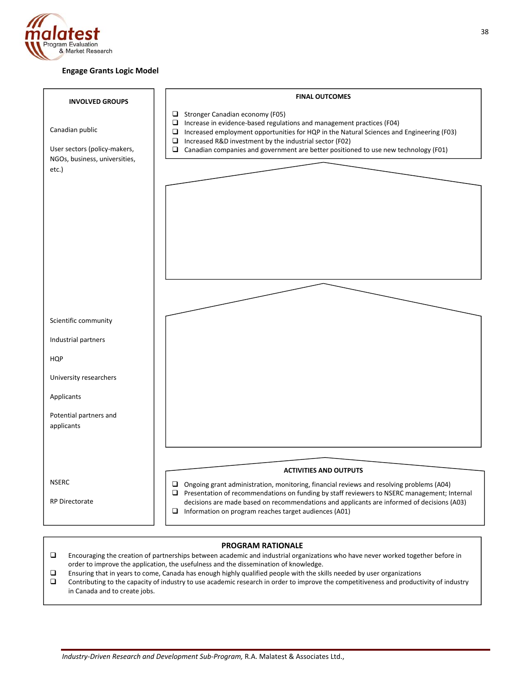

### **Engage Grants Logic Model**



#### **PROGRAM RATIONALE**

- Encouraging the creation of partnerships between academic and industrial organizations who have never worked together before in order to improve the application, the usefulness and the dissemination of knowledge.
- $\square$  Ensuring that in years to come, Canada has enough highly qualified people with the skills needed by user organizations

 Contributing to the capacity of industry to use academic research in order to improve the competitiveness and productivity of industry in Canada and to create jobs.